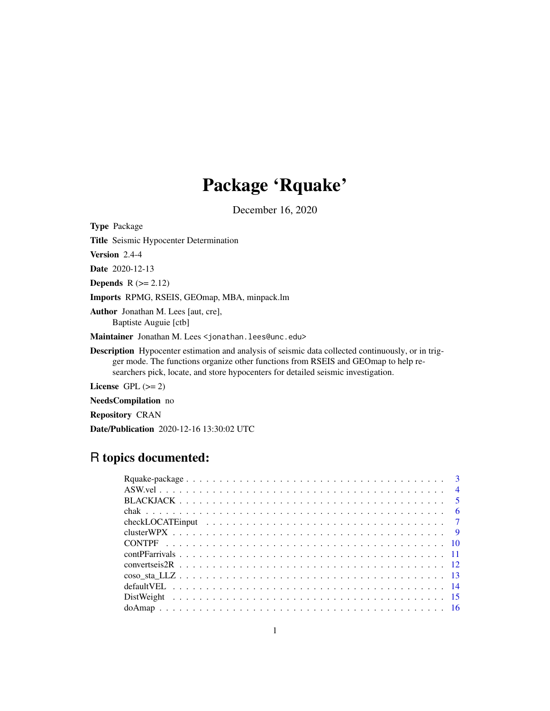# Package 'Rquake'

December 16, 2020

<span id="page-0-0"></span>Type Package

Title Seismic Hypocenter Determination

Version 2.4-4

Date 2020-12-13

Depends  $R (= 2.12)$ 

Imports RPMG, RSEIS, GEOmap, MBA, minpack.lm

Author Jonathan M. Lees [aut, cre], Baptiste Auguie [ctb]

Maintainer Jonathan M. Lees <jonathan.lees@unc.edu>

Description Hypocenter estimation and analysis of seismic data collected continuously, or in trigger mode. The functions organize other functions from RSEIS and GEOmap to help researchers pick, locate, and store hypocenters for detailed seismic investigation.

License GPL  $(>= 2)$ 

NeedsCompilation no

Repository CRAN

Date/Publication 2020-12-16 13:30:02 UTC

## R topics documented: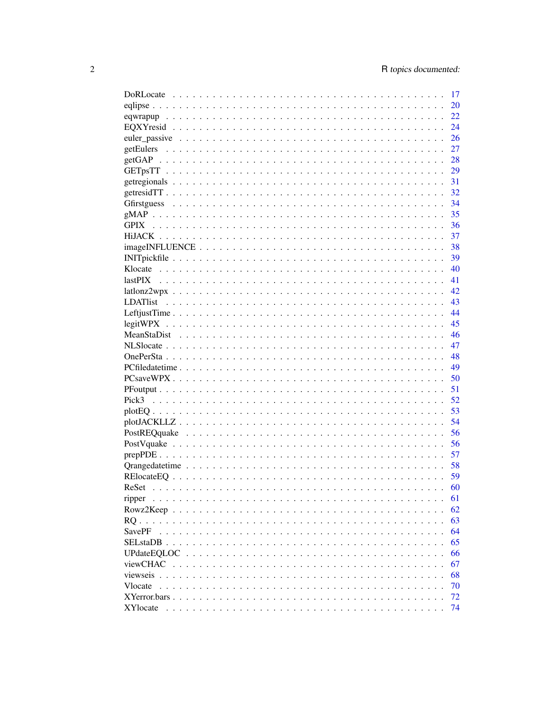|                                   | 17 |
|-----------------------------------|----|
|                                   | 20 |
|                                   | 22 |
|                                   | 24 |
|                                   | 26 |
|                                   | 27 |
|                                   | 28 |
|                                   | 29 |
|                                   | 31 |
|                                   |    |
|                                   |    |
|                                   | 35 |
|                                   | 36 |
|                                   | 37 |
|                                   | 38 |
|                                   | 39 |
|                                   | 40 |
|                                   | 41 |
|                                   | 42 |
|                                   | 43 |
|                                   | 44 |
|                                   | 45 |
|                                   | 46 |
|                                   | 47 |
|                                   | 48 |
|                                   | 49 |
|                                   | 50 |
|                                   | 51 |
|                                   | 52 |
|                                   | 53 |
|                                   | 54 |
|                                   | 56 |
|                                   | 56 |
|                                   | 57 |
|                                   | 58 |
|                                   | 59 |
|                                   | 60 |
| ripper                            | 61 |
| Rowz2Keep<br>$\ddot{\phantom{a}}$ | 62 |
| RO.                               | 63 |
| <b>SavePF</b>                     | 64 |
| SELstaDB                          | 65 |
| UPdateEOLOC                       | 66 |
| viewCHAC<br>$\ddot{\phantom{a}}$  | 67 |
| viewseis                          | 68 |
| Vlocate                           | 70 |
| XYerror.bars.                     | 72 |
| <b>XY</b> locate                  | 74 |
|                                   |    |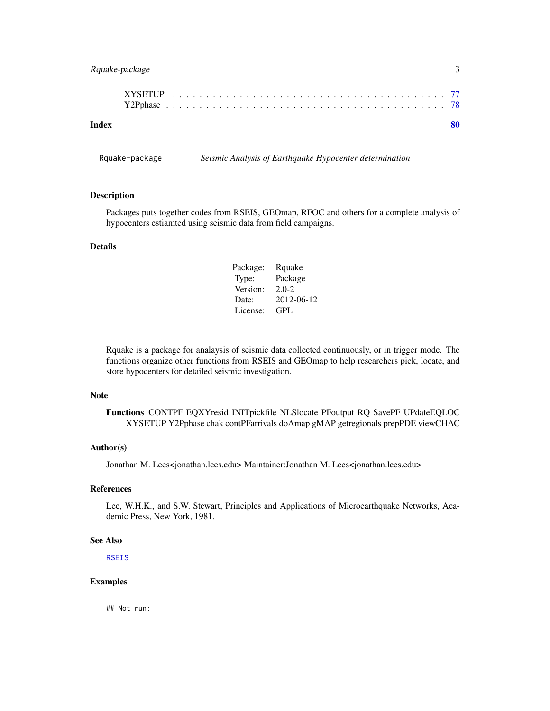### <span id="page-2-0"></span>Rquake-package 3

| Index |  |  |  |  |  |  |  |  |  |  |  |  |  |  |  |  |  |  |  | 80 |  |
|-------|--|--|--|--|--|--|--|--|--|--|--|--|--|--|--|--|--|--|--|----|--|

Rquake-package *Seismic Analysis of Earthquake Hypocenter determination*

#### Description

Packages puts together codes from RSEIS, GEOmap, RFOC and others for a complete analysis of hypocenters estiamted using seismic data from field campaigns.

### Details

| Package: | Rquake     |
|----------|------------|
| Type:    | Package    |
| Version: | $2.0 - 2$  |
| Date:    | 2012-06-12 |
| License: | GPL        |

Rquake is a package for analaysis of seismic data collected continuously, or in trigger mode. The functions organize other functions from RSEIS and GEOmap to help researchers pick, locate, and store hypocenters for detailed seismic investigation.

#### Note

Functions CONTPF EQXYresid INITpickfile NLSlocate PFoutput RQ SavePF UPdateEQLOC XYSETUP Y2Pphase chak contPFarrivals doAmap gMAP getregionals prepPDE viewCHAC

#### Author(s)

Jonathan M. Lees<jonathan.lees.edu> Maintainer:Jonathan M. Lees<jonathan.lees.edu>

### References

Lee, W.H.K., and S.W. Stewart, Principles and Applications of Microearthquake Networks, Academic Press, New York, 1981.

#### See Also

**[RSEIS](#page-0-0)** 

#### Examples

## Not run: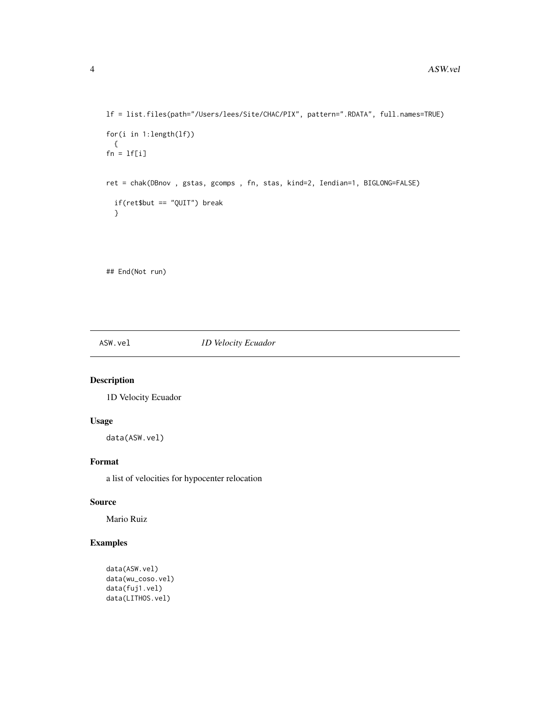```
lf = list.files(path="/Users/lees/Site/CHAC/PIX", pattern=".RDATA", full.names=TRUE)
for(i in 1:length(lf))
  {
fn = 1f[i]ret = chak(DBnov , gstas, gcomps , fn, stas, kind=2, Iendian=1, BIGLONG=FALSE)
  if(ret$but == "QUIT") break
  }
```
## End(Not run)

ASW.vel *1D Velocity Ecuador*

### Description

1D Velocity Ecuador

### Usage

data(ASW.vel)

### Format

a list of velocities for hypocenter relocation

#### Source

Mario Ruiz

```
data(ASW.vel)
data(wu_coso.vel)
data(fuj1.vel)
data(LITHOS.vel)
```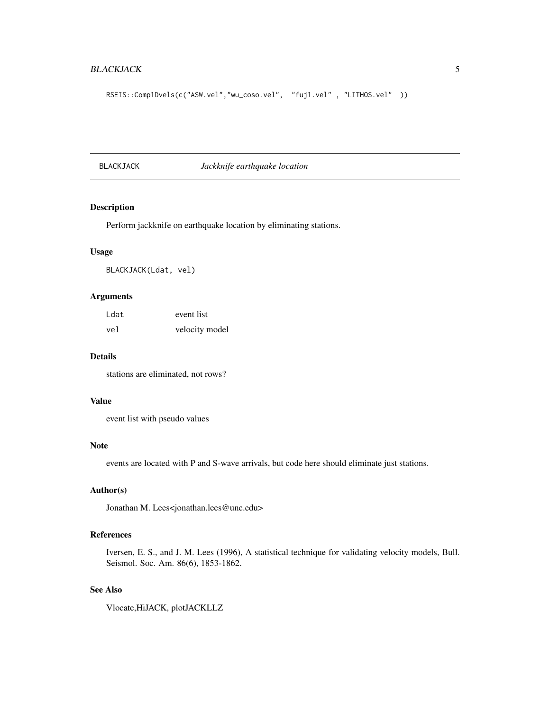### <span id="page-4-0"></span>BLACKJACK 5

```
RSEIS::Comp1Dvels(c("ASW.vel","wu_coso.vel", "fuj1.vel", "LITHOS.vel"))
```
BLACKJACK *Jackknife earthquake location*

### Description

Perform jackknife on earthquake location by eliminating stations.

### Usage

BLACKJACK(Ldat, vel)

### Arguments

| Ldat | event list     |
|------|----------------|
| vel  | velocity model |

### Details

stations are eliminated, not rows?

#### Value

event list with pseudo values

#### Note

events are located with P and S-wave arrivals, but code here should eliminate just stations.

### Author(s)

Jonathan M. Lees<jonathan.lees@unc.edu>

#### References

Iversen, E. S., and J. M. Lees (1996), A statistical technique for validating velocity models, Bull. Seismol. Soc. Am. 86(6), 1853-1862.

#### See Also

Vlocate,HiJACK, plotJACKLLZ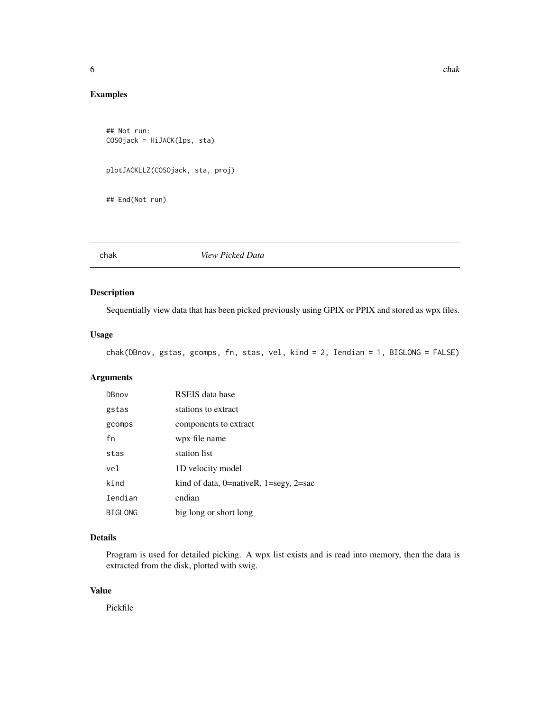### <span id="page-5-0"></span>Examples

```
## Not run:
COSOjack = HiJACK(lps, sta)
plotJACKLLZ(COSOjack, sta, proj)
```
## End(Not run)

chak *View Picked Data*

#### Description

Sequentially view data that has been picked previously using GPIX or PPIX and stored as wpx files.

### Usage

```
chak(DBnov, gstas, gcomps, fn, stas, vel, kind = 2, Iendian = 1, BIGLONG = FALSE)
```
### Arguments

| DBnov          | RSEIS data base                                 |
|----------------|-------------------------------------------------|
| gstas          | stations to extract                             |
| gcomps         | components to extract                           |
| fn             | wpx file name                                   |
| stas           | station list                                    |
| vel.           | 1D velocity model                               |
| kind           | kind of data, $0$ =nativeR, $1$ =segy, $2$ =sac |
| Iendian        | endian                                          |
| <b>BIGLONG</b> | big long or short long                          |

### Details

Program is used for detailed picking. A wpx list exists and is read into memory, then the data is extracted from the disk, plotted with swig.

### Value

Pickfile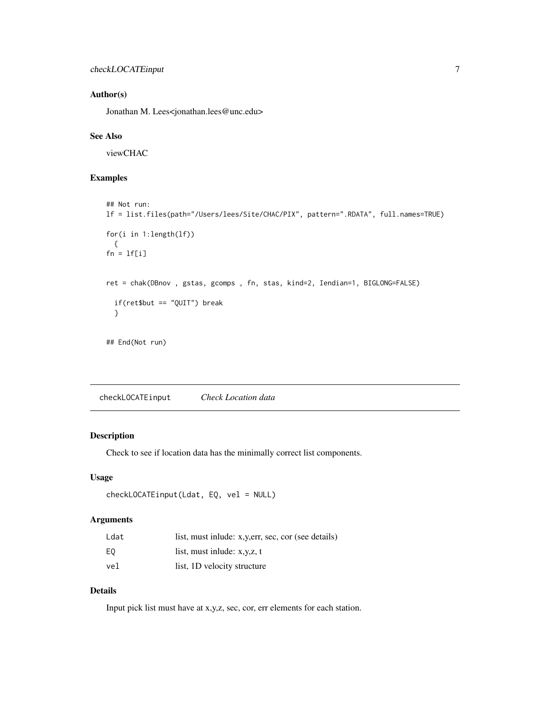### <span id="page-6-0"></span>Author(s)

Jonathan M. Lees<jonathan.lees@unc.edu>

### See Also

viewCHAC

### Examples

```
## Not run:
lf = list.files(path="/Users/lees/Site/CHAC/PIX", pattern=".RDATA", full.names=TRUE)
for(i in 1:length(lf))
  {
fn = lf[i]ret = chak(DBnov , gstas, gcomps , fn, stas, kind=2, Iendian=1, BIGLONG=FALSE)
  if(ret$but == "QUIT") break
  }
## End(Not run)
```
checkLOCATEinput *Check Location data*

### Description

Check to see if location data has the minimally correct list components.

#### Usage

```
checkLOCATEinput(Ldat, EQ, vel = NULL)
```
### Arguments

| Ldat | list, must inlude: x, y, err, sec, cor (see details) |
|------|------------------------------------------------------|
| E0   | list, must inlude: $x, y, z, t$                      |
| vel  | list, 1D velocity structure                          |

### Details

Input pick list must have at x,y,z, sec, cor, err elements for each station.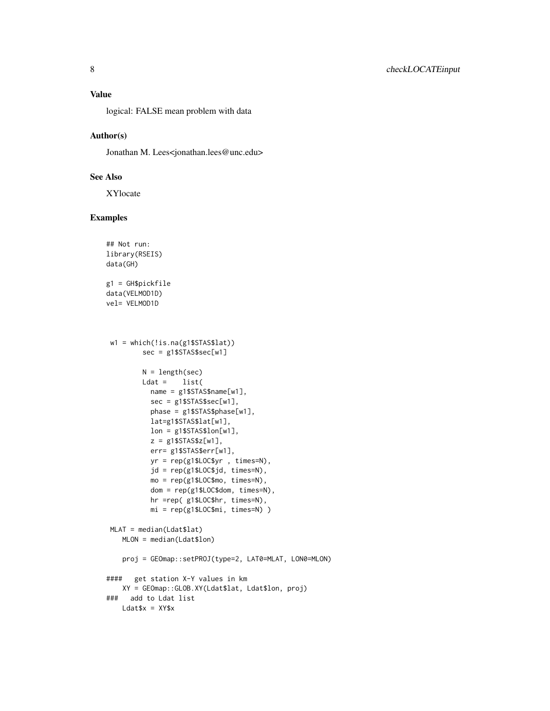logical: FALSE mean problem with data

#### Author(s)

Jonathan M. Lees<jonathan.lees@unc.edu>

#### See Also

XYlocate

```
## Not run:
library(RSEIS)
data(GH)
g1 = GH$pickfile
data(VELMOD1D)
vel= VELMOD1D
 w1 = which(!is.na(g1$STAS$lat))
        sec = g1$STAS$sec[w1]
        N = length(sec)
        Ldat = list(name = g1$STAS$name[w1],
          sec = g1$STAS$sec[w1],
           phase = g1$STAS$phase[w1],
          lat=g1$STAS$lat[w1],
          lon = g1$STAS$lon[w1],
           z = g1$STAS$z[w1],
           err= g1$STAS$err[w1],
          yr = rep(g1$LOC$yr , times=N),
           jd = rep(g1$LOC$jd, times=N),
          mo = rep(g1$LOC$mo, times=N),
          dom = rep(g1$LOC$dom, times=N),
          hr =rep( g1$LOC$hr, times=N),
          mi = rep(g1$LOC$mi, times=N) )
 MLAT = median(Ldat$lat)
   MLON = median(Ldat$lon)
    proj = GEOmap::setPROJ(type=2, LAT0=MLAT, LON0=MLON)
#### get station X-Y values in km
   XY = GEOmap::GLOB.XY(Ldat$lat, Ldat$lon, proj)
### add to Ldat list
   Ldat$x = XY$x
```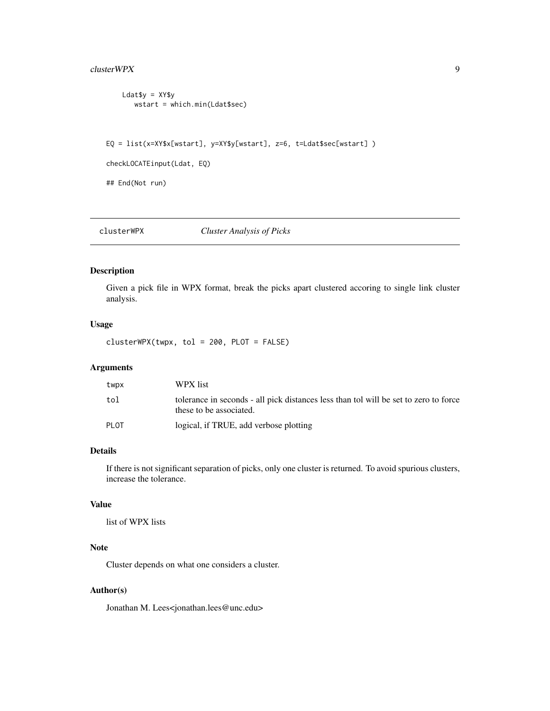### <span id="page-8-0"></span>cluster WPX 9

```
Ldat$y = XY$ywstart = which.min(Ldat$sec)
```
EQ = list(x=XY\$x[wstart], y=XY\$y[wstart], z=6, t=Ldat\$sec[wstart] )

```
checkLOCATEinput(Ldat, EQ)
```
## End(Not run)

clusterWPX *Cluster Analysis of Picks*

### Description

Given a pick file in WPX format, break the picks apart clustered accoring to single link cluster analysis.

#### Usage

clusterWPX(twpx, tol = 200, PLOT = FALSE)

### Arguments

| twpx  | WPX list                                                                                                        |
|-------|-----------------------------------------------------------------------------------------------------------------|
| tol   | tolerance in seconds - all pick distances less than tol will be set to zero to force<br>these to be associated. |
| PI 0T | logical, if TRUE, add verbose plotting                                                                          |

### Details

If there is not significant separation of picks, only one cluster is returned. To avoid spurious clusters, increase the tolerance.

#### Value

list of WPX lists

### Note

Cluster depends on what one considers a cluster.

#### Author(s)

Jonathan M. Lees<jonathan.lees@unc.edu>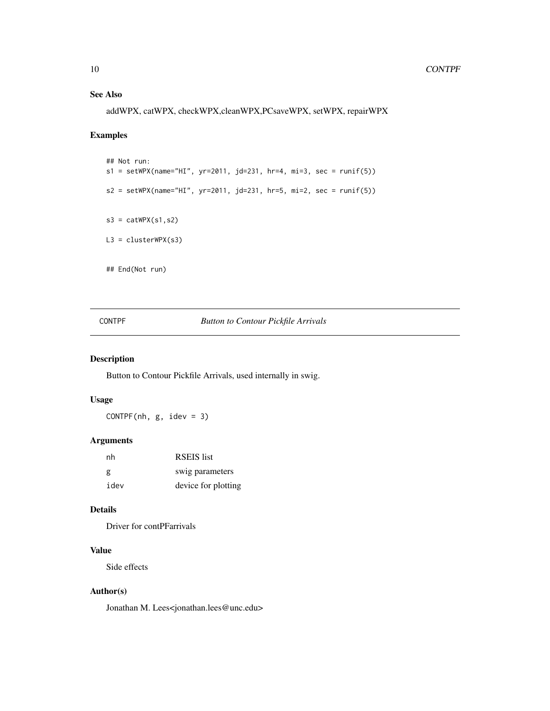### <span id="page-9-0"></span>See Also

addWPX, catWPX, checkWPX,cleanWPX,PCsaveWPX, setWPX, repairWPX

### Examples

```
## Not run:
s1 = setWPX(name="HI", yr=2011, jd=231, hr=4, mi=3, sec = runif(5))
s2 = setWPX(name="HI", yr=2011, jd=231, hr=5, mi=2, sec = runif(5))
s3 = \text{catWPX}(s1, s2)L3 = clusterWPX(s3)
## End(Not run)
```
### CONTPF *Button to Contour Pickfile Arrivals*

### Description

Button to Contour Pickfile Arrivals, used internally in swig.

### Usage

 $CONF(*nh*, g, idev = 3)$ 

### Arguments

| nh   | <b>RSEIS</b> list   |
|------|---------------------|
| g    | swig parameters     |
| idev | device for plotting |

### Details

Driver for contPFarrivals

### Value

Side effects

### Author(s)

Jonathan M. Lees<jonathan.lees@unc.edu>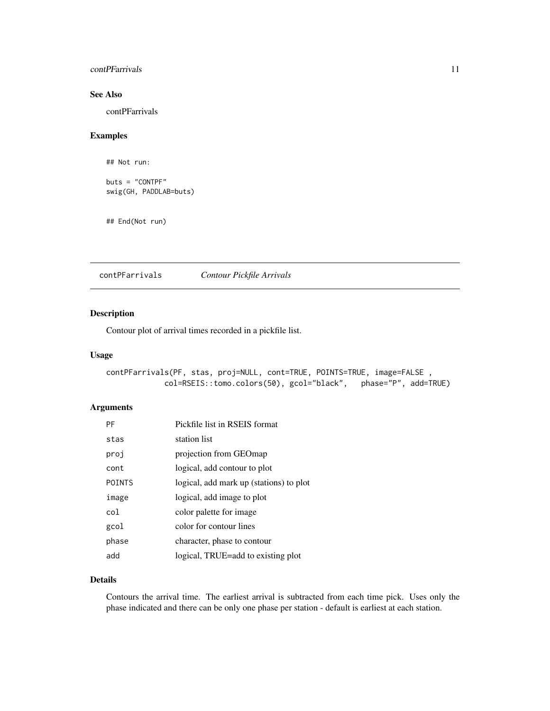#### <span id="page-10-0"></span>contPFarrivals 11

### See Also

contPFarrivals

### Examples

## Not run:

buts = "CONTPF" swig(GH, PADDLAB=buts)

## End(Not run)

contPFarrivals *Contour Pickfile Arrivals*

### Description

Contour plot of arrival times recorded in a pickfile list.

### Usage

```
contPFarrivals(PF, stas, proj=NULL, cont=TRUE, POINTS=TRUE, image=FALSE ,
            col=RSEIS::tomo.colors(50), gcol="black", phase="P", add=TRUE)
```
### Arguments

| PF            | Pickfile list in RSEIS format           |
|---------------|-----------------------------------------|
| stas          | station list                            |
| proj          | projection from GEOmap                  |
| cont          | logical, add contour to plot            |
| <b>POINTS</b> | logical, add mark up (stations) to plot |
| image         | logical, add image to plot              |
| col           | color palette for image                 |
| gcol          | color for contour lines                 |
| phase         | character, phase to contour             |
| add           | logical, TRUE=add to existing plot      |

#### Details

Contours the arrival time. The earliest arrival is subtracted from each time pick. Uses only the phase indicated and there can be only one phase per station - default is earliest at each station.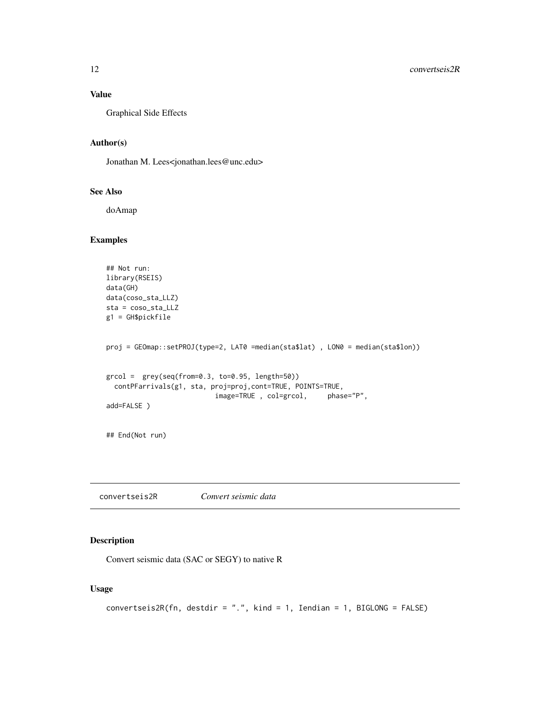### <span id="page-11-0"></span>Value

Graphical Side Effects

### Author(s)

Jonathan M. Lees<jonathan.lees@unc.edu>

#### See Also

doAmap

### Examples

```
## Not run:
library(RSEIS)
data(GH)
data(coso_sta_LLZ)
sta = coso_sta_LLZ
g1 = GH$pickfile
proj = GEOmap::setPROJ(type=2, LAT0 =median(sta$lat) , LON0 = median(sta$lon))
grcol = grey(seq(from=0.3, to=0.95, length=50))
  contPFarrivals(g1, sta, proj=proj,cont=TRUE, POINTS=TRUE,
                          image=TRUE , col=grcol, phase="P",
add=FALSE )
## End(Not run)
```
convertseis2R *Convert seismic data*

### Description

Convert seismic data (SAC or SEGY) to native R

### Usage

```
convertseis2R(fn, destdir = ".", kind = 1, Iendian = 1, BIGLONG = FALSE)
```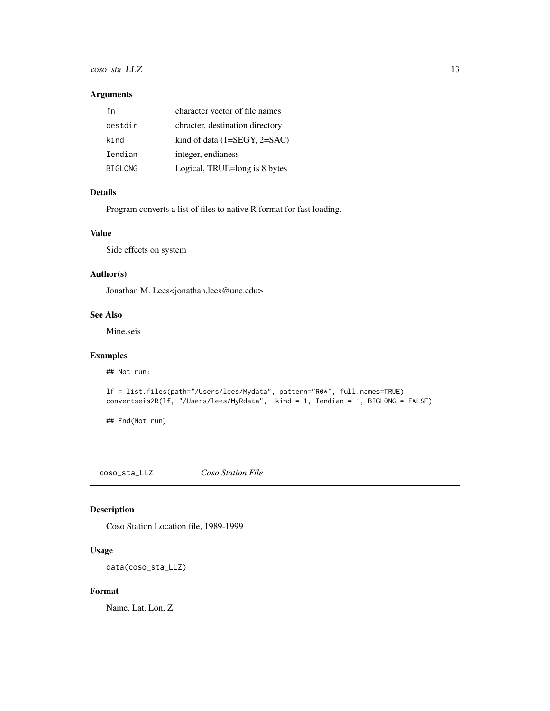### <span id="page-12-0"></span>coso\_sta\_LLZ 13

#### Arguments

| fn             | character vector of file names  |
|----------------|---------------------------------|
| destdir        | chracter, destination directory |
| kind           | kind of data $(1=SEGY, 2=SAC)$  |
| Iendian        | integer, endianess              |
| <b>BIGLONG</b> | Logical, TRUE=long is 8 bytes   |

#### Details

Program converts a list of files to native R format for fast loading.

### Value

Side effects on system

### Author(s)

Jonathan M. Lees<jonathan.lees@unc.edu>

#### See Also

Mine.seis

### Examples

## Not run:

```
lf = list.files(path="/Users/lees/Mydata", pattern="R0*", full.names=TRUE)
convertseis2R(lf, "/Users/lees/MyRdata", kind = 1, Iendian = 1, BIGLONG = FALSE)
```
## End(Not run)

coso\_sta\_LLZ *Coso Station File*

### Description

Coso Station Location file, 1989-1999

### Usage

data(coso\_sta\_LLZ)

#### Format

Name, Lat, Lon, Z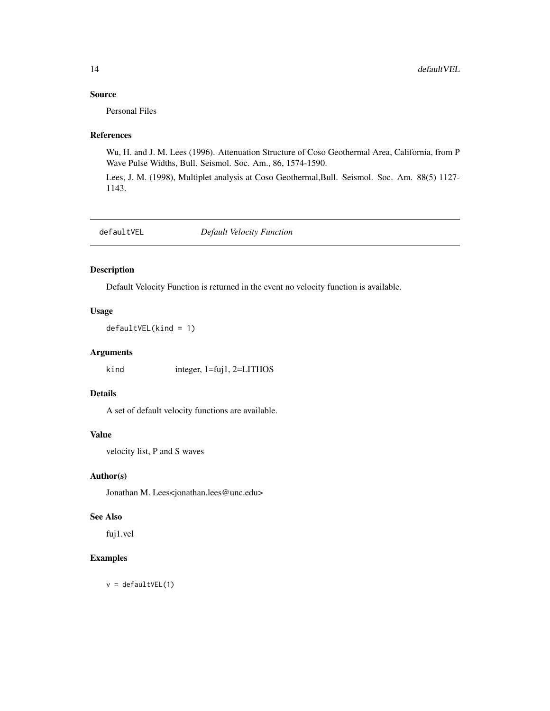### <span id="page-13-0"></span>Source

Personal Files

### References

Wu, H. and J. M. Lees (1996). Attenuation Structure of Coso Geothermal Area, California, from P Wave Pulse Widths, Bull. Seismol. Soc. Am., 86, 1574-1590.

Lees, J. M. (1998), Multiplet analysis at Coso Geothermal,Bull. Seismol. Soc. Am. 88(5) 1127- 1143.

defaultVEL *Default Velocity Function*

#### Description

Default Velocity Function is returned in the event no velocity function is available.

### Usage

defaultVEL(kind = 1)

### Arguments

kind integer, 1=fuj1, 2=LITHOS

#### Details

A set of default velocity functions are available.

### Value

velocity list, P and S waves

#### Author(s)

Jonathan M. Lees<jonathan.lees@unc.edu>

### See Also

fuj1.vel

### Examples

 $v =$  defaultVEL(1)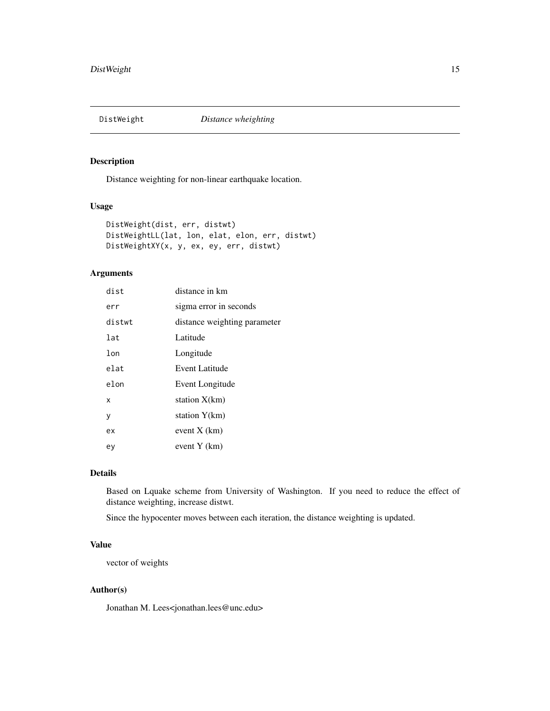<span id="page-14-0"></span>

Distance weighting for non-linear earthquake location.

### Usage

```
DistWeight(dist, err, distwt)
DistWeightLL(lat, lon, elat, elon, err, distwt)
DistWeightXY(x, y, ex, ey, err, distwt)
```
### Arguments

| dist   | distance in km               |
|--------|------------------------------|
| err    | sigma error in seconds       |
| distwt | distance weighting parameter |
| lat    | Latitude                     |
| lon    | Longitude                    |
| elat   | Event Latitude               |
| elon   | Event Longitude              |
| X      | station X(km)                |
| у      | station Y(km)                |
| ex     | event $X$ (km)               |
| ey     | event Y (km)                 |

### Details

Based on Lquake scheme from University of Washington. If you need to reduce the effect of distance weighting, increase distwt.

Since the hypocenter moves between each iteration, the distance weighting is updated.

#### Value

vector of weights

#### Author(s)

Jonathan M. Lees<jonathan.lees@unc.edu>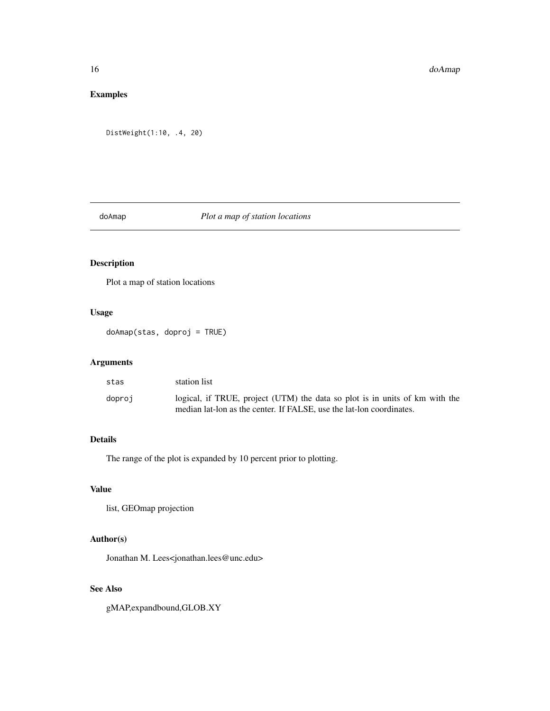### <span id="page-15-0"></span>Examples

```
DistWeight(1:10, .4, 20)
```
### doAmap *Plot a map of station locations*

### Description

Plot a map of station locations

### Usage

doAmap(stas, doproj = TRUE)

### Arguments

| stas   | station list                                                                                                                                        |
|--------|-----------------------------------------------------------------------------------------------------------------------------------------------------|
| doproj | logical, if TRUE, project (UTM) the data so plot is in units of km with the<br>median lat-lon as the center. If FALSE, use the lat-lon coordinates. |

### Details

The range of the plot is expanded by 10 percent prior to plotting.

### Value

list, GEOmap projection

### Author(s)

Jonathan M. Lees<jonathan.lees@unc.edu>

### See Also

gMAP,expandbound,GLOB.XY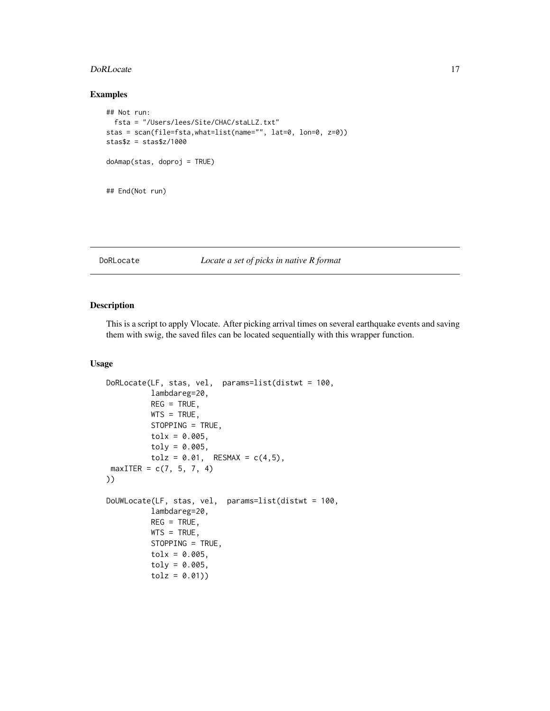#### <span id="page-16-0"></span>DoRLocate 2012 17

### Examples

```
## Not run:
 fsta = "/Users/lees/Site/CHAC/staLLZ.txt"
stas = scan(file=fsta,what=list(name="", lat=0, lon=0, z=0))
stas$z = stas$z/1000
doAmap(stas, doproj = TRUE)
## End(Not run)
```
#### DoRLocate *Locate a set of picks in native R format*

### Description

This is a script to apply Vlocate. After picking arrival times on several earthquake events and saving them with swig, the saved files can be located sequentially with this wrapper function.

#### Usage

```
DoRLocate(LF, stas, vel, params=list(distwt = 100,
          lambdareg=20,
         REG = TRUE,WTS = TRUE,STOPPING = TRUE,
          tolx = 0.005,
         toly = 0.005,tolz = 0.01, RESMAX = c(4,5),
maxITER = c(7, 5, 7, 4)))
DoUWLocate(LF, stas, vel, params=list(distwt = 100,
          lambdareg=20,
         REG = TRUE,WTS = TRUE,STOPPING = TRUE,
          tolx = 0.005,
          toly = 0.005,tolz = 0.01)
```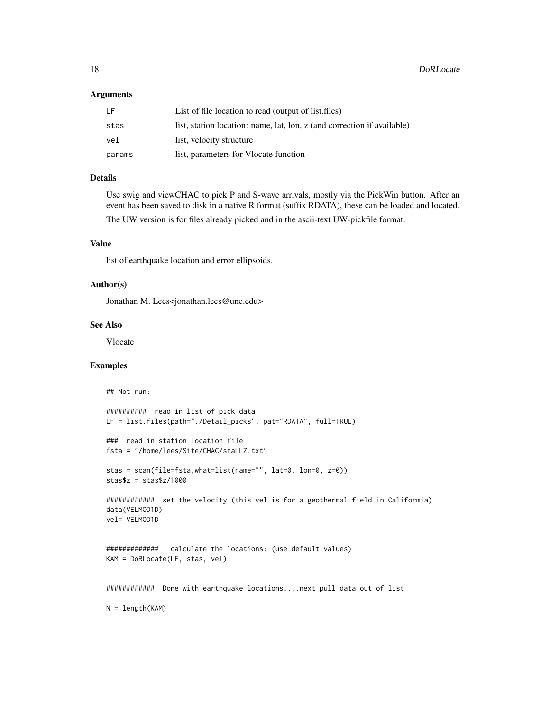#### Arguments

| -l F   | List of file location to read (output of list.files)                    |
|--------|-------------------------------------------------------------------------|
| stas   | list, station location: name, lat, lon, z (and correction if available) |
| vel    | list, velocity structure                                                |
| params | list, parameters for Vlocate function                                   |

### Details

Use swig and viewCHAC to pick P and S-wave arrivals, mostly via the PickWin button. After an event has been saved to disk in a native R format (suffix RDATA), these can be loaded and located. The UW version is for files already picked and in the ascii-text UW-pickfile format.

#### Value

list of earthquake location and error ellipsoids.

#### Author(s)

Jonathan M. Lees<jonathan.lees@unc.edu>

#### See Also

Vlocate

```
## Not run:
########## read in list of pick data
LF = list.files(path="./Detail_picks", pat="RDATA", full=TRUE)
### read in station location file
fsta = "/home/lees/Site/CHAC/staLLZ.txt"
stas = scan(file=fsta,what=list(name="", lat=0, lon=0, z=0))
stas$z = stas$z/1000
############ set the velocity (this vel is for a geothermal field in Califormia)
data(VELMOD1D)
vel= VELMOD1D
############# calculate the locations: (use default values)
KAM = DoRLocate(LF, stas, vel)
############ Done with earthquake locations....next pull data out of list
N = length(KAM)
```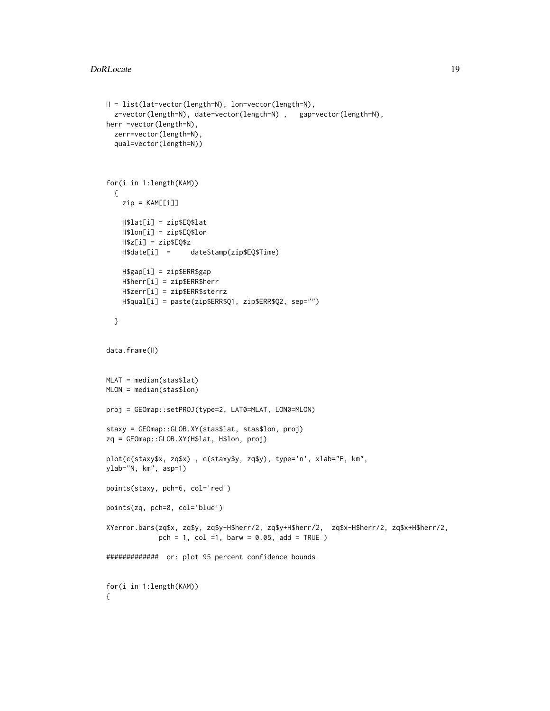```
H = list(lat=vector(length=N), lon=vector(length=N),
  z=vector(length=N), date=vector(length=N) , gap=vector(length=N),
herr =vector(length=N),
 zerr=vector(length=N),
  qual=vector(length=N))
for(i in 1:length(KAM))
  {
   zip = KAM[[i]]
   H$lat[i] = zip$EQ$lat
   H$lon[i] = zip$EQ$lon
   H$z[i] = zip$EQ$z
   H$date[i] = dateStamp(zip$EQ$Time)
   H$gap[i] = zip$ERR$gap
   H$herr[i] = zip$ERR$herr
   H$zerr[i] = zip$ERR$sterrz
   H$qual[i] = paste(zip$ERR$Q1, zip$ERR$Q2, sep="")
  }
data.frame(H)
MLAT = median(stas$lat)
MLON = median(stas$lon)
proj = GEOmap::setPROJ(type=2, LAT0=MLAT, LON0=MLON)
staxy = GEOmap::GLOB.XY(stas$lat, stas$lon, proj)
zq = GEOmap::GLOB.XY(H$lat, H$lon, proj)
plot(c(staxy$x, zq$x) , c(staxy$y, zq$y), type='n', xlab="E, km",
ylab="N, km", asp=1)
points(staxy, pch=6, col='red')
points(zq, pch=8, col='blue')
XYerror.bars(zq$x, zq$y, zq$y-H$herr/2, zq$y+H$herr/2, zq$x-H$herr/2, zq$x+H$herr/2,
             pch = 1, col =1, barw = 0.05, add = TRUE )
############# or: plot 95 percent confidence bounds
for(i in 1:length(KAM))
{
```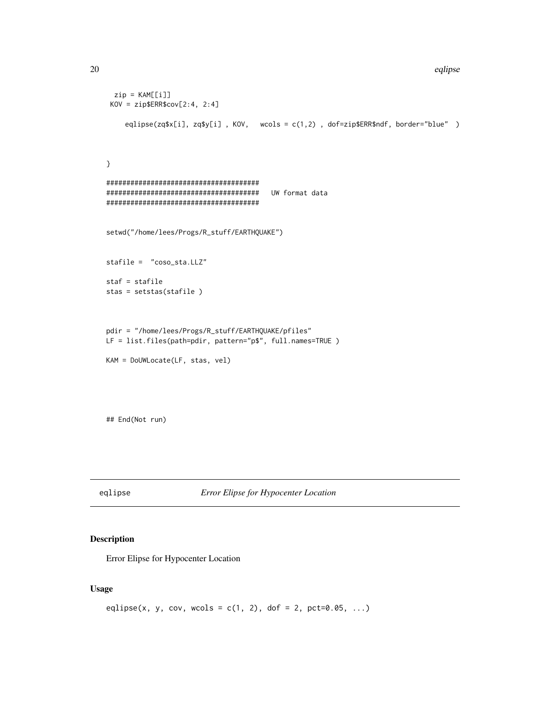```
20 eqlipse
```

```
zip = KAM[[i]]KOV = zip$ERR$cov[2:4, 2:4]
    eqlipse(zq$x[i], zq$y[i] , KOV, wcols = c(1,2) , dof=zip$ERR$ndf, border="blue" )
}
######################################
###################################### UW format data
######################################
setwd("/home/lees/Progs/R_stuff/EARTHQUAKE")
stafile = "coso_sta.LLZ"
staf = stafile
stas = setstas(stafile )
pdir = "/home/lees/Progs/R_stuff/EARTHQUAKE/pfiles"
LF = list.files(path=pdir, pattern="p$", full.names=TRUE )
KAM = DoUWLocate(LF, stas, vel)
```
## End(Not run)

eqlipse *Error Elipse for Hypocenter Location*

### Description

Error Elipse for Hypocenter Location

### Usage

```
eqlipse(x, y, cov, wcols = c(1, 2), dof = 2, pct=0.05, ...)
```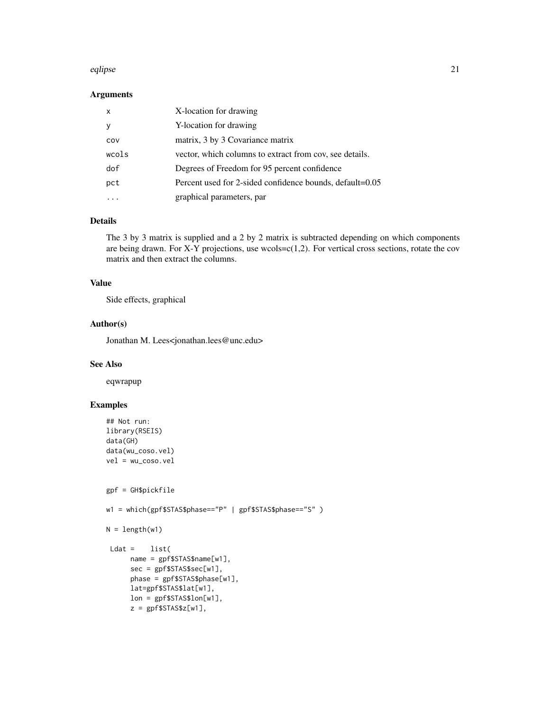#### eqlipse 21

### Arguments

| $\mathsf{x}$ | X-location for drawing                                   |
|--------------|----------------------------------------------------------|
|              | Y-location for drawing                                   |
| COV          | matrix, 3 by 3 Covariance matrix                         |
| wcols        | vector, which columns to extract from cov, see details.  |
| dof          | Degrees of Freedom for 95 percent confidence             |
| pct          | Percent used for 2-sided confidence bounds, default=0.05 |
|              | graphical parameters, par                                |

#### Details

The 3 by 3 matrix is supplied and a 2 by 2 matrix is subtracted depending on which components are being drawn. For X-Y projections, use wcols= $c(1,2)$ . For vertical cross sections, rotate the cov matrix and then extract the columns.

### Value

Side effects, graphical

#### Author(s)

Jonathan M. Lees<jonathan.lees@unc.edu>

#### See Also

eqwrapup

```
## Not run:
library(RSEIS)
data(GH)
data(wu_coso.vel)
vel = wu_coso.vel
gpf = GH$pickfile
```

```
w1 = which(gpf$STAS$phase=="P" | gpf$STAS$phase=="S" )
```

```
N = length(w1)
```

```
Ldat = list(
    name = gpf$STAS$name[w1],
     sec = gpf$STAS$sec[w1],
     phase = gpf$STAS$phase[w1],
     lat=gpf$STAS$lat[w1],
     lon = gpf$STAS$lon[w1],
     z = gpf$STAS$z[w1],
```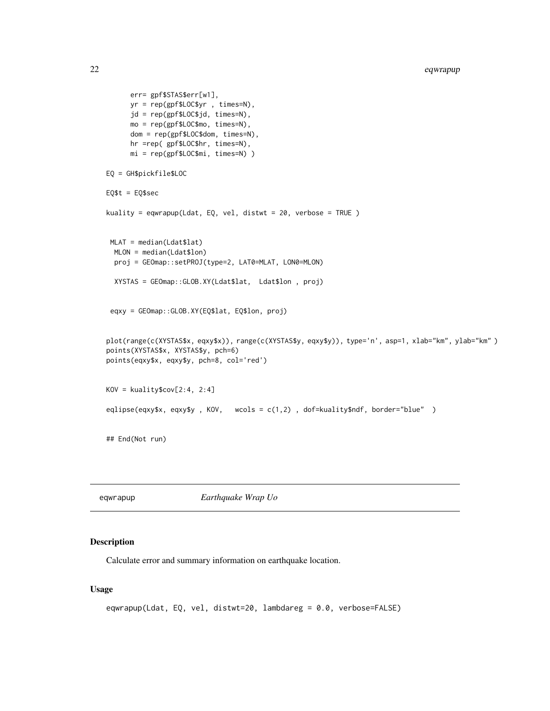```
err= gpf$STAS$err[w1],
      yr = rep(gpf$LOC$yr , times=N),
      jd = rep(gpf$LOC$jd, times=N),
     mo = rep(gpf$LOC$mo, times=N),
      dom = rep(gpf$LOC$dom, times=N),
      hr =rep( gpf$LOC$hr, times=N),
     mi = rep(gpf$LOC$mi, times=N) )
EQ = GH$pickfile$LOC
EQ$t = EQ$sec
kuality = eqwrapup(Ldat, EQ, vel, distwt = 20, verbose = TRUE )
 MLAT = median(Ldat$lat)
 MLON = median(Ldat$lon)
  proj = GEOmap::setPROJ(type=2, LAT0=MLAT, LON0=MLON)
  XYSTAS = GEOmap::GLOB.XY(Ldat$lat, Ldat$lon , proj)
 eqxy = GEOmap::GLOB.XY(EQ$lat, EQ$lon, proj)
plot(range(c(XYSTAS$x, eqxy$x)), range(c(XYSTAS$y, eqxy$y)), type='n', asp=1, xlab="km", ylab="km" )
points(XYSTAS$x, XYSTAS$y, pch=6)
points(eqxy$x, eqxy$y, pch=8, col='red')
KOV = kuality$cov[2:4, 2:4]
eqlipse(eqxy$x, eqxy$y , KOV, wcols = c(1,2) , dof=kuality$ndf, border="blue" )
## End(Not run)
```
eqwrapup *Earthquake Wrap Uo*

#### Description

Calculate error and summary information on earthquake location.

#### Usage

```
eqwrapup(Ldat, EQ, vel, distwt=20, lambdareg = 0.0, verbose=FALSE)
```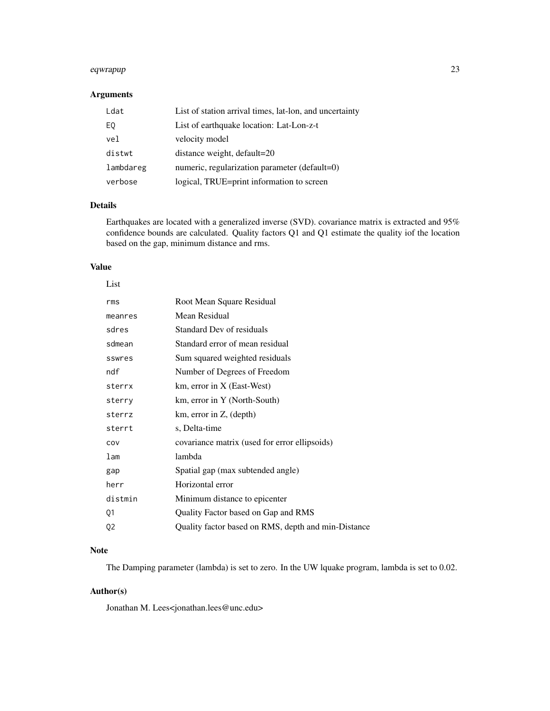#### eqwrapup 23

### Arguments

| Ldat      | List of station arrival times, lat-lon, and uncertainty |
|-----------|---------------------------------------------------------|
| EQ        | List of earthquake location: Lat-Lon-z-t                |
| vel       | velocity model                                          |
| distwt    | distance weight, default=20                             |
| lambdareg | numeric, regularization parameter (default=0)           |
| verbose   | logical, TRUE=print information to screen               |

### Details

Earthquakes are located with a generalized inverse (SVD). covariance matrix is extracted and 95% confidence bounds are calculated. Quality factors Q1 and Q1 estimate the quality iof the location based on the gap, minimum distance and rms.

### Value

| List    |                                                     |
|---------|-----------------------------------------------------|
| rms     | Root Mean Square Residual                           |
| meanres | Mean Residual                                       |
| sdres   | Standard Dev of residuals                           |
| sdmean  | Standard error of mean residual                     |
| sswres  | Sum squared weighted residuals                      |
| ndf     | Number of Degrees of Freedom                        |
| sterrx  | km, error in X (East-West)                          |
| sterry  | km, error in Y (North-South)                        |
| sterrz  | km, error in Z, (depth)                             |
| sterrt  | s, Delta-time                                       |
| COV     | covariance matrix (used for error ellipsoids)       |
| lam     | lambda                                              |
| gap     | Spatial gap (max subtended angle)                   |
| herr    | Horizontal error                                    |
| distmin | Minimum distance to epicenter                       |
| Q1      | Quality Factor based on Gap and RMS                 |
| Q2      | Quality factor based on RMS, depth and min-Distance |

### Note

The Damping parameter (lambda) is set to zero. In the UW lquake program, lambda is set to 0.02.

### Author(s)

Jonathan M. Lees<jonathan.lees@unc.edu>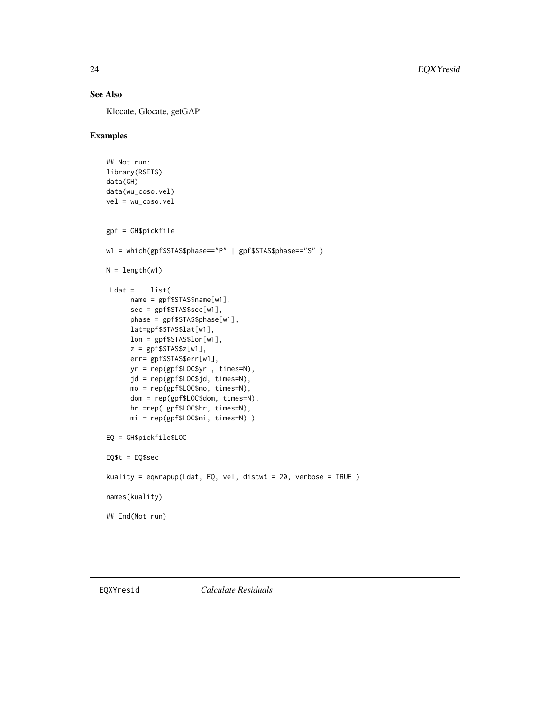### <span id="page-23-0"></span>See Also

Klocate, Glocate, getGAP

```
## Not run:
library(RSEIS)
data(GH)
data(wu_coso.vel)
vel = wu_coso.vel
gpf = GH$pickfile
w1 = which(gpf$STAS$phase=="P" | gpf$STAS$phase=="S" )
N = length(w1)Ldat = list(
     name = gpf$STAS$name[w1],
      sec = gpf$STAS$sec[w1],
      phase = gpf$STAS$phase[w1],
      lat=gpf$STAS$lat[w1],
      lon = gpf$STAS$lon[w1],
      z = gpf$STAS$z[w1],
      err= gpf$STAS$err[w1],
      yr = rep(gpf$LOC$yr , times=N),
      jd = rep(gpf$LOC$jd, times=N),
     mo = rep(gpf$LOC$mo, times=N),
      dom = rep(gpf$LOC$dom, times=N),
      hr =rep( gpf$LOC$hr, times=N),
     mi = rep(gpf$LOC$mi, times=N) )
EQ = GH$pickfile$LOC
EQ$t = EQ$sec
kuality = eqwrapup(Ldat, EQ, vel, distwt = 20, verbose = TRUE )
names(kuality)
## End(Not run)
```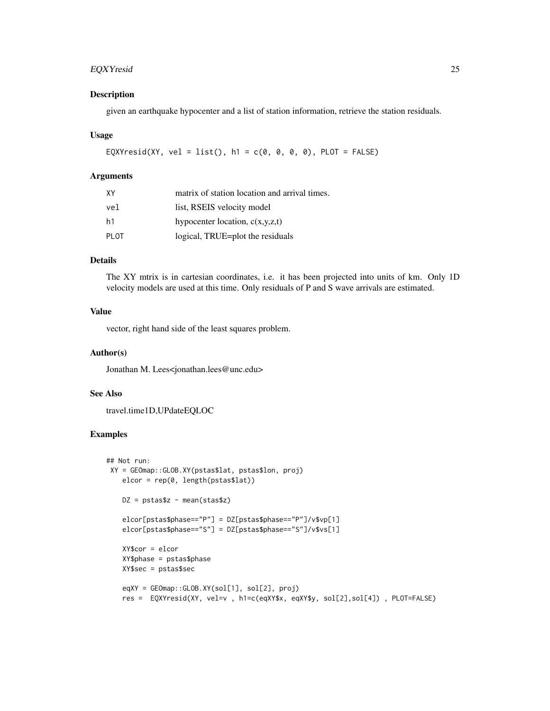### EQXYresid 25

#### Description

given an earthquake hypocenter and a list of station information, retrieve the station residuals.

#### Usage

```
EQXYresid(XY, vel = list(), h1 = c(0, 0, 0, 0), PLOT = FALSE)
```
#### Arguments

| XΥ   | matrix of station location and arrival times. |
|------|-----------------------------------------------|
| vel  | list, RSEIS velocity model                    |
| h1   | hypocenter location, $c(x,y,z,t)$             |
| PLOT | logical, TRUE=plot the residuals              |

#### Details

The XY mtrix is in cartesian coordinates, i.e. it has been projected into units of km. Only 1D velocity models are used at this time. Only residuals of P and S wave arrivals are estimated.

### Value

vector, right hand side of the least squares problem.

#### Author(s)

Jonathan M. Lees<jonathan.lees@unc.edu>

#### See Also

travel.time1D,UPdateEQLOC

```
## Not run:
XY = GEOmap::GLOB.XY(pstas$lat, pstas$lon, proj)
   elcor = rep(0, length(pstas$lat))
   DZ = pstars$z - mean(stas$z)elcor[pstas$phase=="P"] = DZ[pstas$phase=="P"]/v$vp[1]
   elcor[pstas$phase=="S"] = DZ[pstas$phase=="S"]/v$vs[1]
   XY$cor = elcor
   XY$phase = pstas$phase
   XY$sec = pstas$sec
   eqXY = GEOmap::GLOB.XY(sol[1], sol[2], proj)
   res = EQXYresid(XY, vel=v , h1=c(eqXY$x, eqXY$y, sol[2],sol[4]) , PLOT=FALSE)
```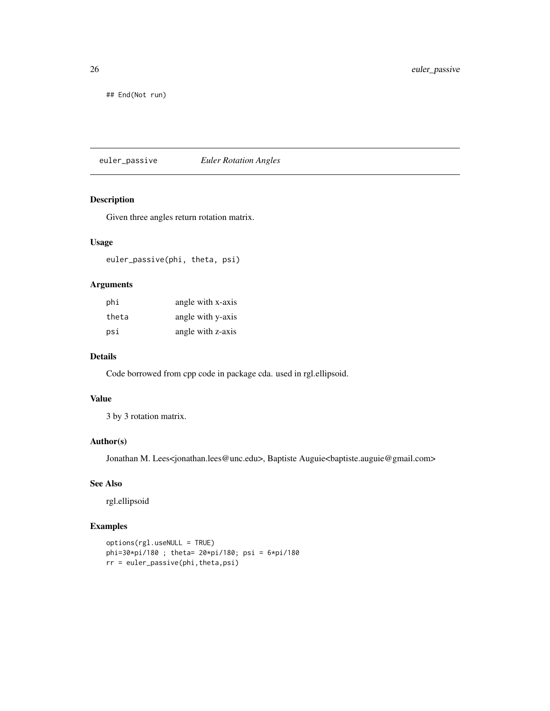<span id="page-25-0"></span>26 euler\_passive

## End(Not run)

euler\_passive *Euler Rotation Angles*

### Description

Given three angles return rotation matrix.

### Usage

euler\_passive(phi, theta, psi)

### Arguments

| phi   | angle with x-axis |
|-------|-------------------|
| theta | angle with y-axis |
| psi   | angle with z-axis |

### Details

Code borrowed from cpp code in package cda. used in rgl.ellipsoid.

### Value

3 by 3 rotation matrix.

### Author(s)

Jonathan M. Lees<jonathan.lees@unc.edu>, Baptiste Auguie<baptiste.auguie@gmail.com>

### See Also

rgl.ellipsoid

```
options(rgl.useNULL = TRUE)
phi=30*pi/180 ; theta= 20*pi/180; psi = 6*pi/180
rr = euler_passive(phi,theta,psi)
```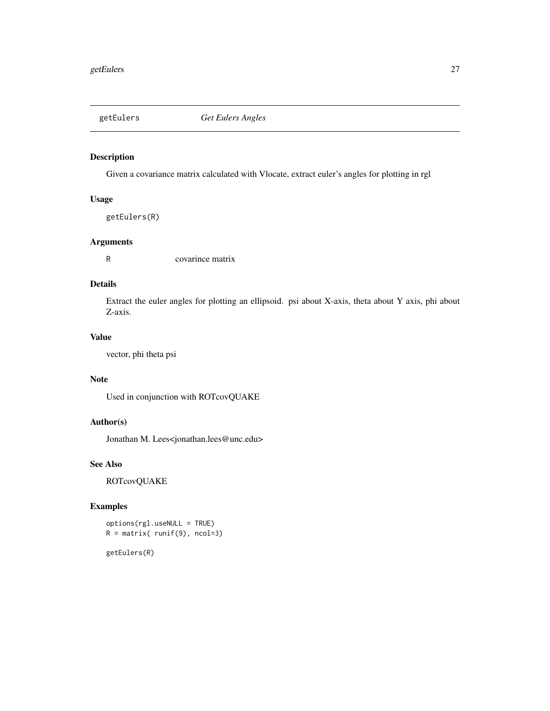<span id="page-26-0"></span>

Given a covariance matrix calculated with Vlocate, extract euler's angles for plotting in rgl

### Usage

getEulers(R)

### Arguments

R covarince matrix

### Details

Extract the euler angles for plotting an ellipsoid. psi about X-axis, theta about Y axis, phi about Z-axis.

### Value

vector, phi theta psi

### Note

Used in conjunction with ROTcovQUAKE

### Author(s)

Jonathan M. Lees<jonathan.lees@unc.edu>

### See Also

ROTcovQUAKE

#### Examples

options(rgl.useNULL = TRUE)  $R = matrix( runif(9), ncol=3)$ 

getEulers(R)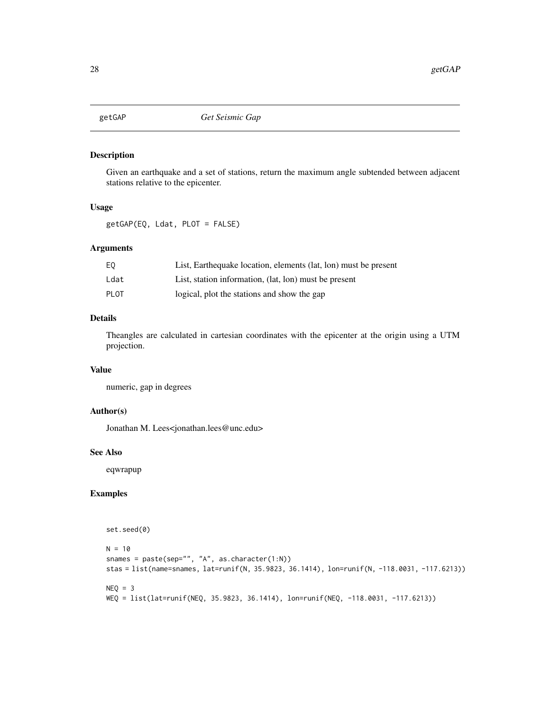<span id="page-27-0"></span>

Given an earthquake and a set of stations, return the maximum angle subtended between adjacent stations relative to the epicenter.

### Usage

getGAP(EQ, Ldat, PLOT = FALSE)

#### Arguments

| EQ          | List, Earthequake location, elements (lat, lon) must be present |
|-------------|-----------------------------------------------------------------|
| Ldat        | List, station information, (lat, lon) must be present           |
| <b>PLOT</b> | logical, plot the stations and show the gap                     |

### Details

Theangles are calculated in cartesian coordinates with the epicenter at the origin using a UTM projection.

#### Value

numeric, gap in degrees

### Author(s)

Jonathan M. Lees<jonathan.lees@unc.edu>

#### See Also

eqwrapup

```
set.seed(0)
N = 10snames = paste(sep="", "A", as.character(1:N))
stas = list(name=snames, lat=runif(N, 35.9823, 36.1414), lon=runif(N, -118.0031, -117.6213))
NEQ = 3WEQ = list(lat=runif(NEQ, 35.9823, 36.1414), lon=runif(NEQ, -118.0031, -117.6213))
```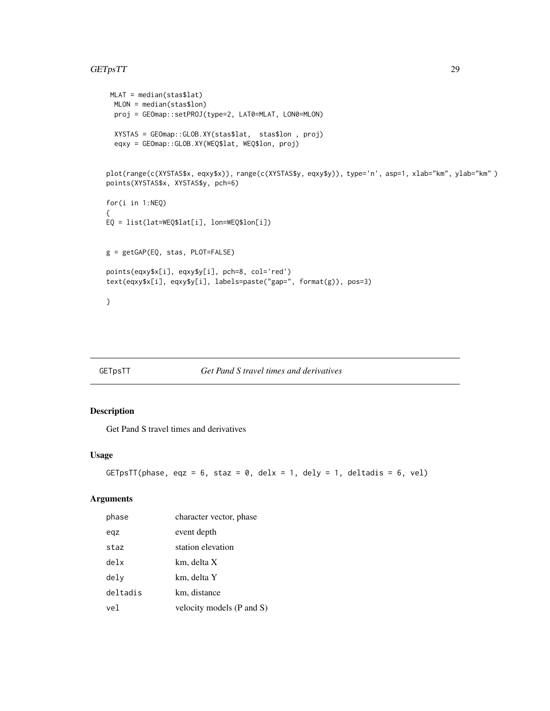### <span id="page-28-0"></span>GETpsTT 29

```
MLAT = median(stas$lat)
 MLON = median(stas$lon)
 proj = GEOmap::setPROJ(type=2, LAT0=MLAT, LON0=MLON)
  XYSTAS = GEOmap::GLOB.XY(stas$lat, stas$lon , proj)
  eqxy = GEOmap::GLOB.XY(WEQ$lat, WEQ$lon, proj)
plot(range(c(XYSTAS$x, eqxy$x)), range(c(XYSTAS$y, eqxy$y)), type='n', asp=1, xlab="km", ylab="km" )
points(XYSTAS$x, XYSTAS$y, pch=6)
for(i in 1:NEQ)
{
EQ = list(lat=WEQ$lat[i], lon=WEQ$lon[i])
g = getGAP(EQ, stas, PLOT=FALSE)
points(eqxy$x[i], eqxy$y[i], pch=8, col='red')
text(eqxy$x[i], eqxy$y[i], labels=paste("gap=", format(g)), pos=3)
}
```
### GETpsTT *Get Pand S travel times and derivatives*

### Description

Get Pand S travel times and derivatives

#### Usage

```
GETpsTT(phase, eqz = 6, staz = 0, delx = 1, dely = 1, deltadis = 6, vel)
```
### Arguments

| phase    | character vector, phase   |
|----------|---------------------------|
| eqz      | event depth               |
| staz     | station elevation         |
| delx     | km, delta X               |
| dely     | km, delta Y               |
| deltadis | km, distance              |
| vel      | velocity models (P and S) |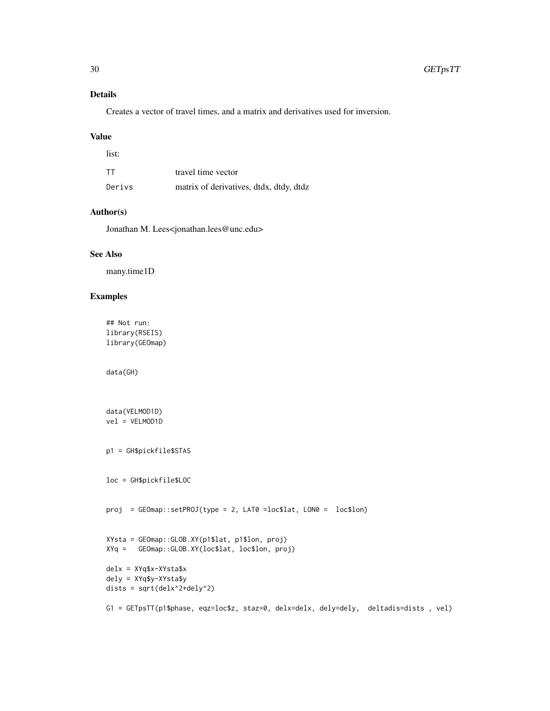### Details

Creates a vector of travel times, and a matrix and derivatives used for inversion.

#### Value

| list:  |                                         |
|--------|-----------------------------------------|
| TT     | travel time vector                      |
| Derivs | matrix of derivatives, dtdx, dtdy, dtdz |

### Author(s)

Jonathan M. Lees<jonathan.lees@unc.edu>

#### See Also

many.time1D

### Examples

```
## Not run:
library(RSEIS)
library(GEOmap)
```
data(GH)

```
data(VELMOD1D)
vel = VELMOD1D
p1 = GH$pickfile$STAS
loc = GH$pickfile$LOC
proj = GEOmap::setPROJ(type = 2, LAT0 =loc$lat, LON0 = loc$lon)
XYsta = GEOmap::GLOB.XY(p1$lat, p1$lon, proj)
XYq = GEOmap::GLOB.XY(loc$lat, loc$lon, proj)
delx = XYq$x-XYsta$x
dely = XYq$y-XYsta$y
dists = sqrt(delx^2+dely^2)
G1 = GETpsTT(p1$phase, eqz=loc$z, staz=0, delx=delx, dely=dely, deltadis=dists , vel)
```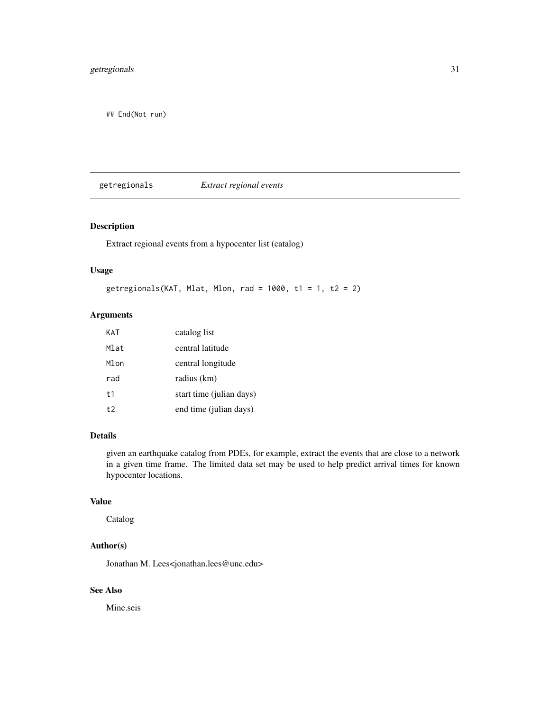### <span id="page-30-0"></span>getregionals 31

## End(Not run)

getregionals *Extract regional events*

### Description

Extract regional events from a hypocenter list (catalog)

#### Usage

```
getregionals(KAT, Mlat, Mlon, rad = 1000, t1 = 1, t2 = 2)
```
### Arguments

| KAT            | catalog list             |
|----------------|--------------------------|
| Mlat           | central latitude         |
| Mlon           | central longitude        |
| rad            | radius (km)              |
| t <sub>1</sub> | start time (julian days) |
| $t$ .          | end time (julian days)   |

### Details

given an earthquake catalog from PDEs, for example, extract the events that are close to a network in a given time frame. The limited data set may be used to help predict arrival times for known hypocenter locations.

#### Value

Catalog

### Author(s)

Jonathan M. Lees<jonathan.lees@unc.edu>

### See Also

Mine.seis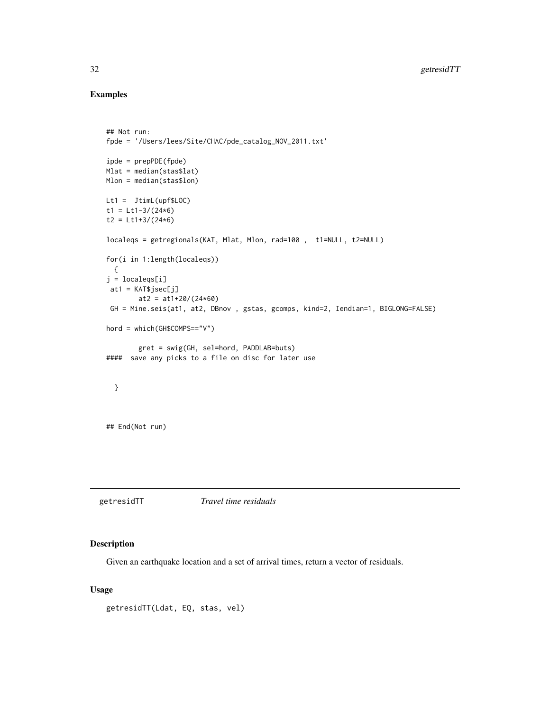### Examples

```
## Not run:
fpde = '/Users/lees/Site/CHAC/pde_catalog_NOV_2011.txt'
ipde = prepPDE(fpde)
Mlat = median(stas$lat)
Mlon = median(stas$lon)
Lt1 = JtimL(upf$LOC)
t1 = Lt1-3/(24*6)t2 = Lt1+3/(24*6)localeqs = getregionals(KAT, Mlat, Mlon, rad=100 , t1=NULL, t2=NULL)
for(i in 1:length(localeqs))
  {
j = localeqs[i]
 at1 = KAT$jsec[j]at2 = at1+20/(24*60)GH = Mine.seis(at1, at2, DBnov , gstas, gcomps, kind=2, Iendian=1, BIGLONG=FALSE)
hord = which(GH$COMPS=="V")
        gret = swig(GH, sel=hord, PADDLAB=buts)
#### save any picks to a file on disc for later use
  }
## End(Not run)
```
getresidTT *Travel time residuals*

#### Description

Given an earthquake location and a set of arrival times, return a vector of residuals.

#### Usage

```
getresidTT(Ldat, EQ, stas, vel)
```
<span id="page-31-0"></span>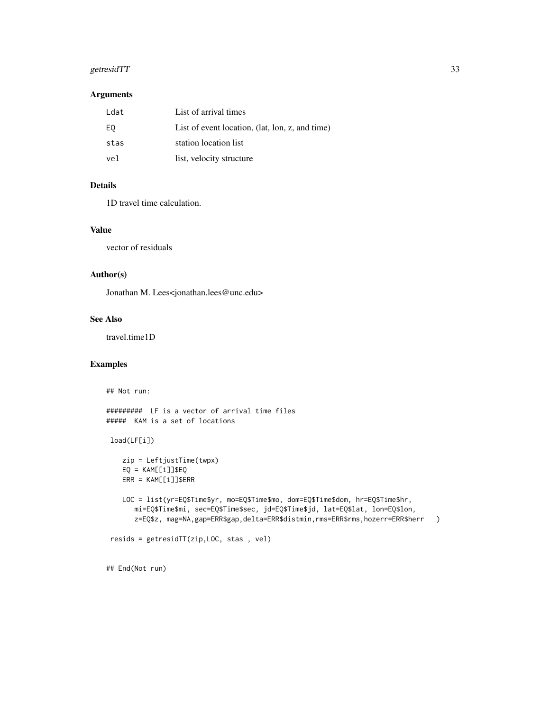### getresidTT 33

### Arguments

| Ldat | List of arrival times                           |
|------|-------------------------------------------------|
| EQ   | List of event location, (lat, lon, z, and time) |
| stas | station location list                           |
| vel  | list, velocity structure                        |

### Details

1D travel time calculation.

#### Value

vector of residuals

#### Author(s)

Jonathan M. Lees<jonathan.lees@unc.edu>

### See Also

travel.time1D

### Examples

## Not run:

```
######### LF is a vector of arrival time files
##### KAM is a set of locations
```

```
load(LF[i])
```

```
zip = LeftjustTime(twpx)
EQ = KAM[[i]]$EQ
ERR = KAM[[i]]$ERR
```

```
LOC = list(yr=EQ$Time$yr, mo=EQ$Time$mo, dom=EQ$Time$dom, hr=EQ$Time$hr,
   mi=EQ$Time$mi, sec=EQ$Time$sec, jd=EQ$Time$jd, lat=EQ$lat, lon=EQ$lon,
   z=EQ$z, mag=NA,gap=ERR$gap,delta=ERR$distmin,rms=ERR$rms,hozerr=ERR$herr )
```

```
resids = getresidTT(zip,LOC, stas , vel)
```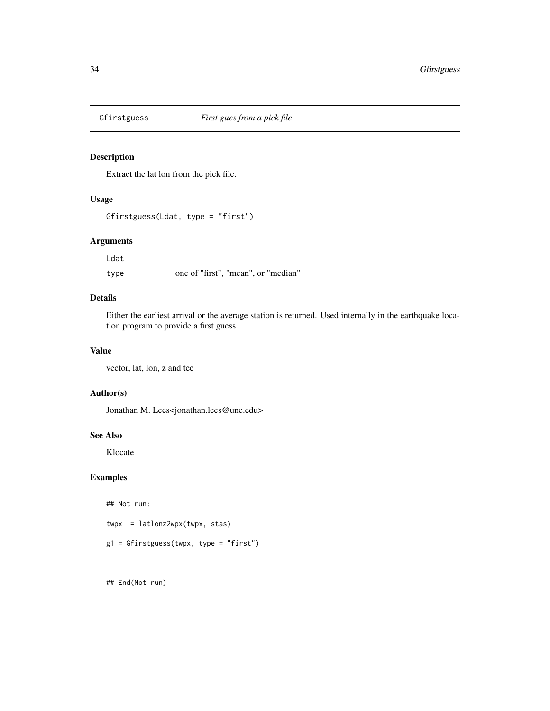<span id="page-33-0"></span>

Extract the lat lon from the pick file.

#### Usage

```
Gfirstguess(Ldat, type = "first")
```
#### Arguments

Ldat

type one of "first", "mean", or "median"

### Details

Either the earliest arrival or the average station is returned. Used internally in the earthquake location program to provide a first guess.

### Value

vector, lat, lon, z and tee

#### Author(s)

Jonathan M. Lees<jonathan.lees@unc.edu>

### See Also

Klocate

### Examples

## Not run:

twpx = latlonz2wpx(twpx, stas)

g1 = Gfirstguess(twpx, type = "first")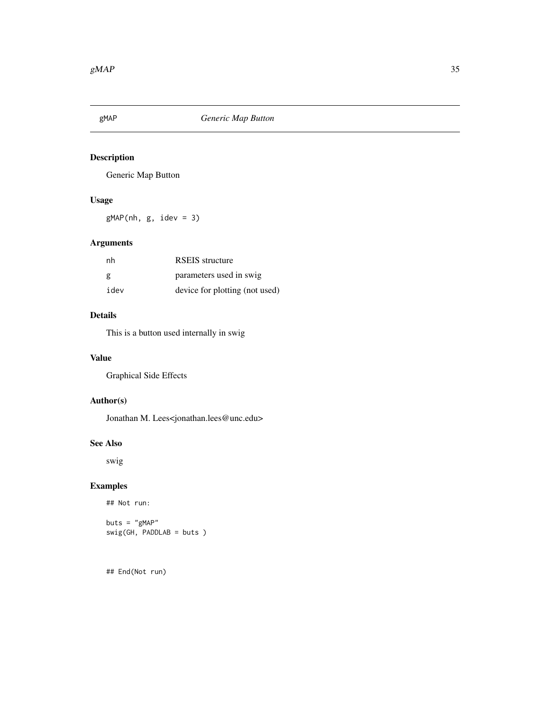<span id="page-34-0"></span>

Generic Map Button

### Usage

 $gMAP(nh, g, idev = 3)$ 

### Arguments

| nh   | <b>RSEIS</b> structure         |
|------|--------------------------------|
| g    | parameters used in swig        |
| idev | device for plotting (not used) |

### Details

This is a button used internally in swig

#### Value

Graphical Side Effects

### Author(s)

Jonathan M. Lees<jonathan.lees@unc.edu>

### See Also

swig

### Examples

```
## Not run:
```

```
buts = "gMAP"
swig(GH, PADDLAB = buts )
```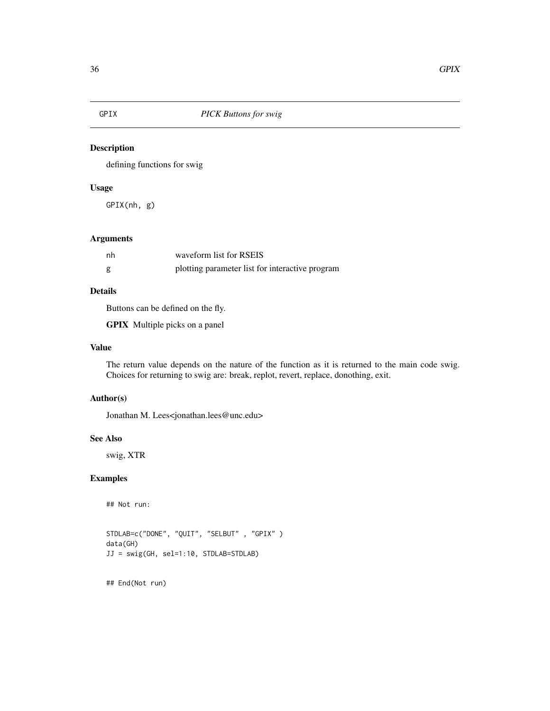<span id="page-35-0"></span>

defining functions for swig

### Usage

GPIX(nh, g)

#### Arguments

| nh | waveform list for RSEIS                         |
|----|-------------------------------------------------|
| g  | plotting parameter list for interactive program |

### Details

Buttons can be defined on the fly.

GPIX Multiple picks on a panel

### Value

The return value depends on the nature of the function as it is returned to the main code swig. Choices for returning to swig are: break, replot, revert, replace, donothing, exit.

#### Author(s)

Jonathan M. Lees<jonathan.lees@unc.edu>

#### See Also

swig, XTR

### Examples

## Not run:

```
STDLAB=c("DONE", "QUIT", "SELBUT" , "GPIX" )
data(GH)
JJ = swig(GH, sel=1:10, STDLAB=STDLAB)
```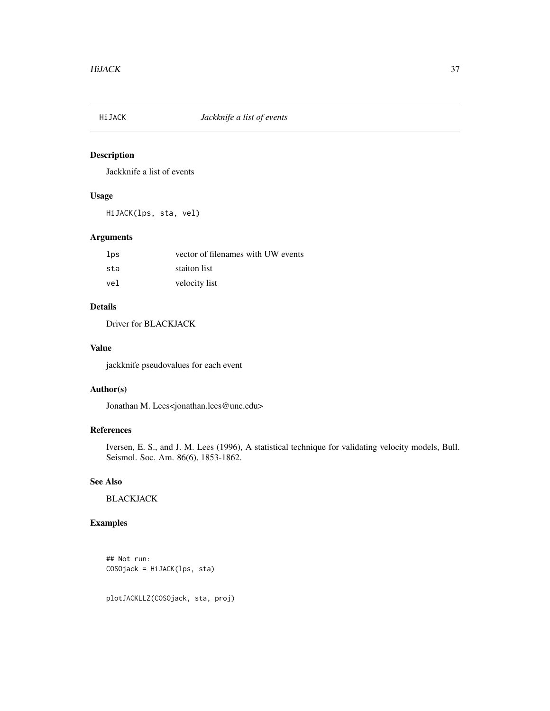Jackknife a list of events

## Usage

HiJACK(lps, sta, vel)

## Arguments

| lps | vector of filenames with UW events |
|-----|------------------------------------|
| sta | staiton list                       |
| vel | velocity list                      |

# Details

Driver for BLACKJACK

#### Value

jackknife pseudovalues for each event

## Author(s)

Jonathan M. Lees<jonathan.lees@unc.edu>

# References

Iversen, E. S., and J. M. Lees (1996), A statistical technique for validating velocity models, Bull. Seismol. Soc. Am. 86(6), 1853-1862.

# See Also

BLACKJACK

# Examples

```
## Not run:
COSOjack = HiJACK(lps, sta)
```
plotJACKLLZ(COSOjack, sta, proj)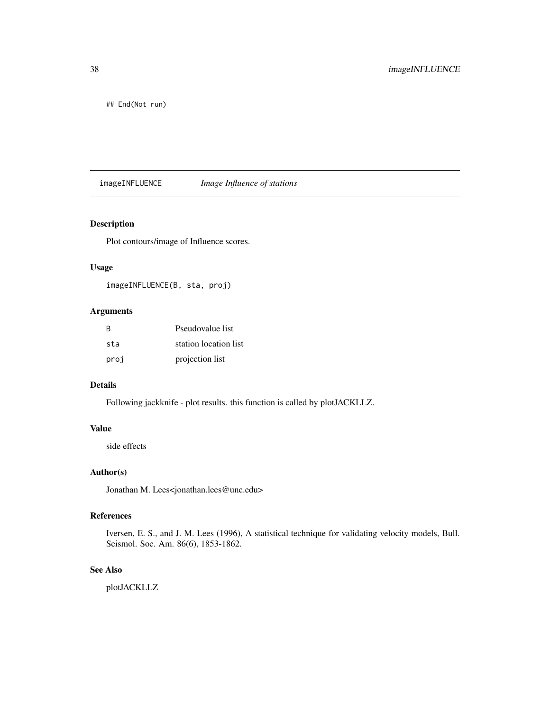## End(Not run)

imageINFLUENCE *Image Influence of stations*

## Description

Plot contours/image of Influence scores.

#### Usage

imageINFLUENCE(B, sta, proj)

# Arguments

| <b>B</b> | Pseudovalue list      |
|----------|-----------------------|
| sta      | station location list |
| proj     | projection list       |

# Details

Following jackknife - plot results. this function is called by plotJACKLLZ.

#### Value

side effects

## Author(s)

Jonathan M. Lees<jonathan.lees@unc.edu>

# References

Iversen, E. S., and J. M. Lees (1996), A statistical technique for validating velocity models, Bull. Seismol. Soc. Am. 86(6), 1853-1862.

#### See Also

plotJACKLLZ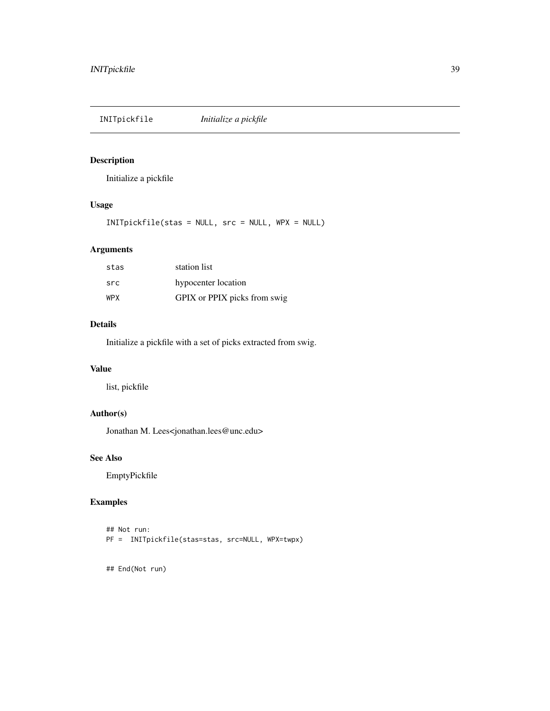INITpickfile *Initialize a pickfile*

# Description

Initialize a pickfile

# Usage

INITpickfile(stas = NULL, src = NULL, WPX = NULL)

# Arguments

| stas       | station list                 |
|------------|------------------------------|
| src        | hypocenter location          |
| <b>WPX</b> | GPIX or PPIX picks from swig |

## Details

Initialize a pickfile with a set of picks extracted from swig.

# Value

list, pickfile

# Author(s)

Jonathan M. Lees<jonathan.lees@unc.edu>

# See Also

EmptyPickfile

# Examples

```
## Not run:
PF = INITpickfile(stas=stas, src=NULL, WPX=twpx)
```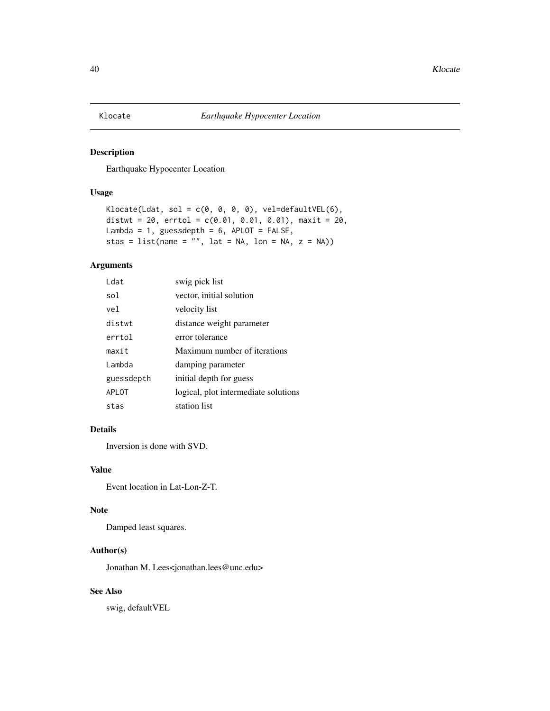Earthquake Hypocenter Location

## Usage

```
Klocate(Ldat, sol = c(\emptyset, \emptyset, \emptyset, \emptyset), vel=defaultVEL(6),
distwt = 20, errtol = c(0.01, 0.01, 0.01), maxit = 20,
Lambda = 1, guessdepth = 6, APLOT = FALSE,
stas = list(name = "", lat = NA, lon = NA, z = NA))
```
#### Arguments

| I dat      | swig pick list                       |
|------------|--------------------------------------|
| sol        | vector, initial solution             |
| vel.       | velocity list                        |
| distwt     | distance weight parameter            |
| errtol     | error tolerance                      |
| maxit      | Maximum number of iterations         |
| Lambda     | damping parameter                    |
| guessdepth | initial depth for guess              |
| APLOT      | logical, plot intermediate solutions |
| stas       | station list                         |

## Details

Inversion is done with SVD.

#### Value

Event location in Lat-Lon-Z-T.

#### Note

Damped least squares.

## Author(s)

Jonathan M. Lees<jonathan.lees@unc.edu>

#### See Also

swig, defaultVEL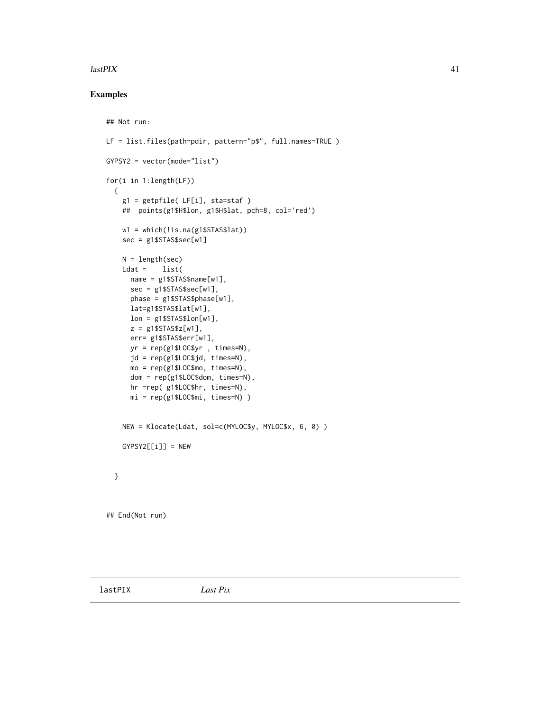#### $\mu$  as the set of the set of the set of the set of the set of the set of the set of the set of the set of the set of the set of the set of the set of the set of the set of the set of the set of the set of the set of the

## Examples

```
## Not run:
LF = list.files(path=pdir, pattern="p$", full.names=TRUE )
GYPSY2 = vector(mode="list")
for(i in 1:length(LF))
  {
    g1 = getpfile( LF[i], sta=staf )
    ## points(g1$H$lon, g1$H$lat, pch=8, col='red')
    w1 = which(!is.na(g1$STAS$lat))
    sec = g1$STAS$sec[w1]
    N = length(sec)
    Ldat = list(name = g1$STAS$name[w1],
     sec = g1$STAS$sec[w1],
     phase = g1$STAS$phase[w1],
     lat=g1$STAS$lat[w1],
     lon = g1$STAS$lon[w1],
      z = g1$STAS$z[w1],
      err= g1$STAS$err[w1],
      yr = rep(g1$LOC$yr , times=N),
      jd = rep(g1$LOC$jd, times=N),
     mo = rep(g1$LOC$mo, times=N),
      dom = rep(g1$LOC$dom, times=N),
      hr =rep( g1$LOC$hr, times=N),
     mi = rep(g1$LOC$mi, times=N) )
    NEW = Klocate(Ldat, sol=c(MYLOC$y, MYLOC$x, 6, 0) )
    GYPSY2[[i]] = NEW
  }
## End(Not run)
```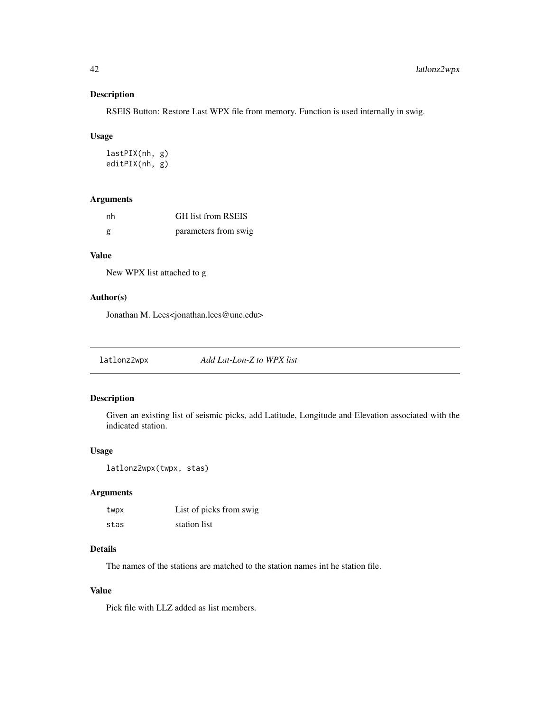RSEIS Button: Restore Last WPX file from memory. Function is used internally in swig.

#### Usage

lastPIX(nh, g) editPIX(nh, g)

#### Arguments

| nh | <b>GH</b> list from RSEIS |
|----|---------------------------|
| g  | parameters from swig      |

## Value

New WPX list attached to g

## Author(s)

Jonathan M. Lees<jonathan.lees@unc.edu>

latlonz2wpx *Add Lat-Lon-Z to WPX list*

## Description

Given an existing list of seismic picks, add Latitude, Longitude and Elevation associated with the indicated station.

#### Usage

```
latlonz2wpx(twpx, stas)
```
#### Arguments

| twpx | List of picks from swig |
|------|-------------------------|
| stas | station list            |

# Details

The names of the stations are matched to the station names int he station file.

#### Value

Pick file with LLZ added as list members.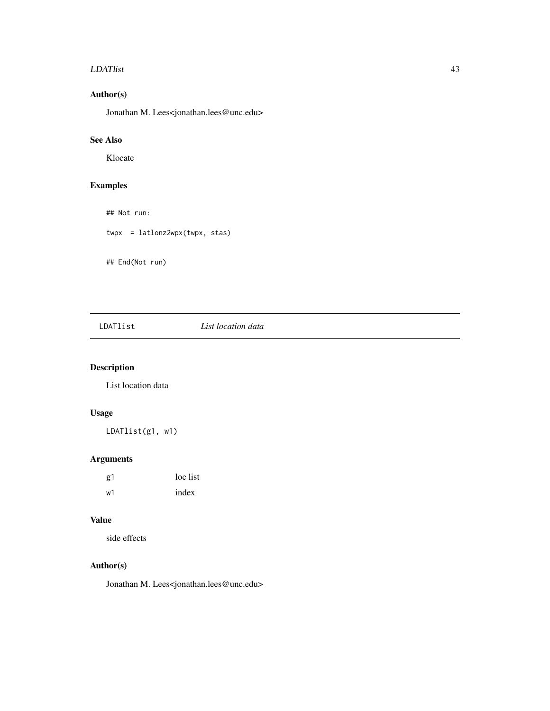#### LDATlist 43

# Author(s)

Jonathan M. Lees<jonathan.lees@unc.edu>

# See Also

Klocate

## Examples

## Not run:

twpx = latlonz2wpx(twpx, stas)

## End(Not run)

# LDATlist *List location data*

# Description

List location data

## Usage

LDATlist(g1, w1)

# Arguments

| g1 | loc list |
|----|----------|
| w1 | index    |

## Value

side effects

## Author(s)

Jonathan M. Lees<jonathan.lees@unc.edu>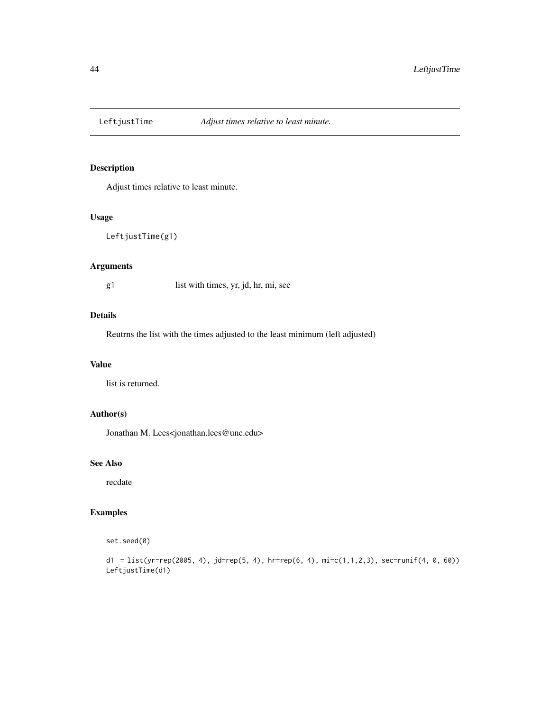Adjust times relative to least minute.

# Usage

```
LeftjustTime(g1)
```
# Arguments

g1 list with times, yr, jd, hr, mi, sec

#### Details

Reutrns the list with the times adjusted to the least minimum (left adjusted)

#### Value

list is returned.

# Author(s)

Jonathan M. Lees<jonathan.lees@unc.edu>

#### See Also

recdate

## Examples

```
set.seed(0)
```

```
d1 = list(yr=rep(2005, 4), jd=rep(5, 4), hr=rep(6, 4), mi=c(1,1,2,3), sec=runif(4, 0, 60))
LeftjustTime(d1)
```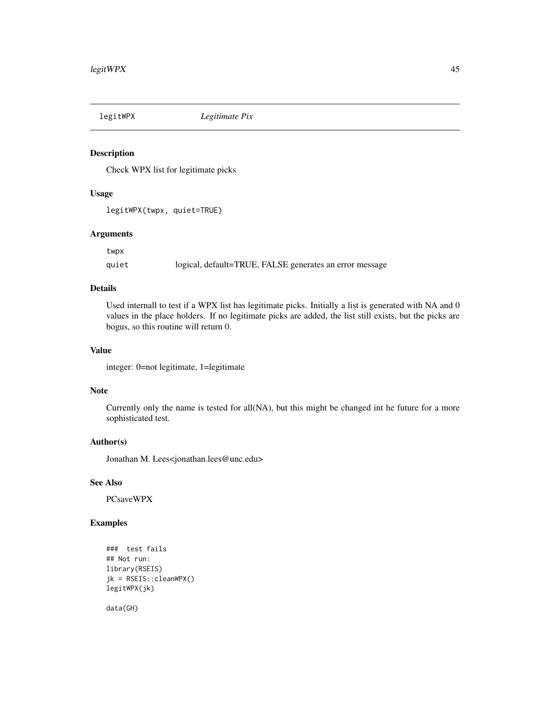Check WPX list for legitimate picks

#### Usage

legitWPX(twpx, quiet=TRUE)

#### Arguments

twpx

quiet logical, default=TRUE, FALSE generates an error message

## Details

Used internall to test if a WPX list has legitimate picks. Initially a list is generated with NA and 0 values in the place holders. If no legitimate picks are added, the list still exists, but the picks are bogus, so this routine will return 0.

#### Value

integer: 0=not legitimate, 1=legitimate

#### Note

Currently only the name is tested for all(NA), but this might be changed int he future for a more sophisticated test.

## Author(s)

Jonathan M. Lees<jonathan.lees@unc.edu>

#### See Also

PCsaveWPX

## Examples

```
### test fails
## Not run:
library(RSEIS)
jk = RSEIS::cleanWPX()
legitWPX(jk)
```
data(GH)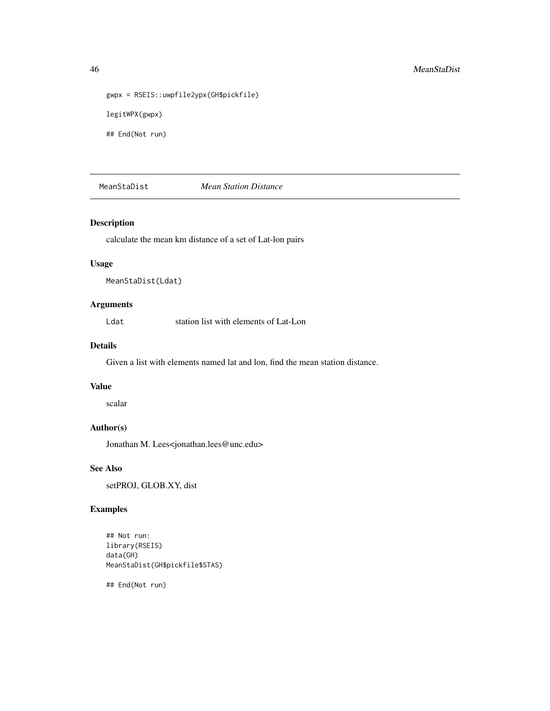```
gwpx = RSEIS::uwpfile2ypx(GH$pickfile)
legitWPX(gwpx)
```
## End(Not run)

MeanStaDist *Mean Station Distance*

#### Description

calculate the mean km distance of a set of Lat-lon pairs

#### Usage

```
MeanStaDist(Ldat)
```
## Arguments

Ldat station list with elements of Lat-Lon

# Details

Given a list with elements named lat and lon, find the mean station distance.

#### Value

scalar

# Author(s)

Jonathan M. Lees<jonathan.lees@unc.edu>

#### See Also

setPROJ, GLOB.XY, dist

## Examples

## Not run: library(RSEIS) data(GH) MeanStaDist(GH\$pickfile\$STAS)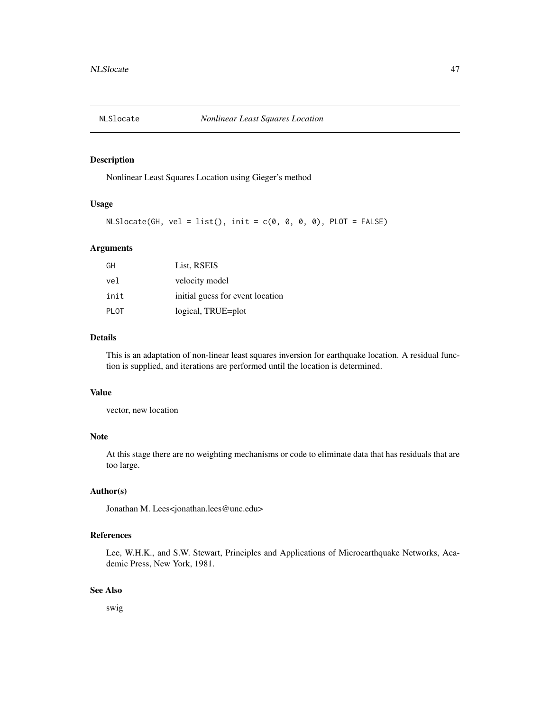Nonlinear Least Squares Location using Gieger's method

#### Usage

```
NLSlocated(GH, vel = list(), init = c(0, 0, 0, 0), PLOT = FALSE)
```
#### Arguments

| GH   | List, RSEIS                      |
|------|----------------------------------|
| vel  | velocity model                   |
| init | initial guess for event location |
| PLOT | logical, TRUE=plot               |

#### Details

This is an adaptation of non-linear least squares inversion for earthquake location. A residual function is supplied, and iterations are performed until the location is determined.

#### Value

vector, new location

# Note

At this stage there are no weighting mechanisms or code to eliminate data that has residuals that are too large.

#### Author(s)

Jonathan M. Lees<jonathan.lees@unc.edu>

#### References

Lee, W.H.K., and S.W. Stewart, Principles and Applications of Microearthquake Networks, Academic Press, New York, 1981.

#### See Also

swig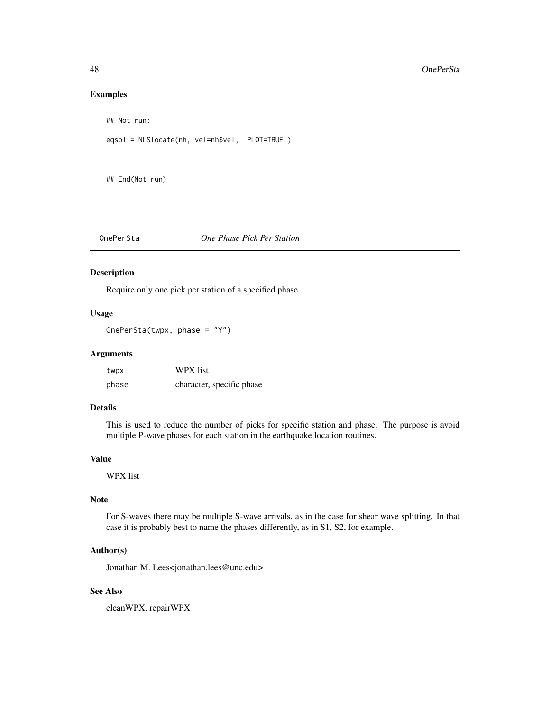#### Examples

```
## Not run:
```

```
eqsol = NLSlocate(nh, vel=nh$vel, PLOT=TRUE )
```
## End(Not run)

# OnePerSta *One Phase Pick Per Station*

#### Description

Require only one pick per station of a specified phase.

#### Usage

OnePerSta(twpx, phase = "Y")

#### Arguments

| twpx  | WPX list                  |
|-------|---------------------------|
| phase | character, specific phase |

#### Details

This is used to reduce the number of picks for specific station and phase. The purpose is avoid multiple P-wave phases for each station in the earthquake location routines.

# Value

WPX list

# Note

For S-waves there may be multiple S-wave arrivals, as in the case for shear wave splitting. In that case it is probably best to name the phases differently, as in S1, S2, for example.

## Author(s)

Jonathan M. Lees<jonathan.lees@unc.edu>

#### See Also

cleanWPX, repairWPX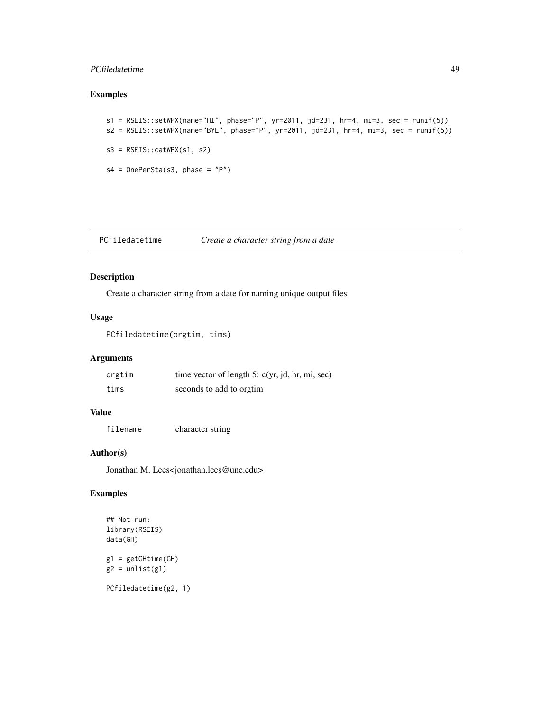#### PCfiledatetime 49

## Examples

```
s1 = RSEIS::setWPX(name="HI", phase="P", yr=2011, jd=231, hr=4, mi=3, sec = runif(5))s2 = RSEIS::setWPX(name="BYE", phase="P", yr=2011, jd=231, hr=4, mi=3, sec = runif(5))
s3 = RSEIS::catWPX(s1, s2)s4 = 0nePerSta(s3, phase = "P")
```
PCfiledatetime *Create a character string from a date*

## Description

Create a character string from a date for naming unique output files.

#### Usage

PCfiledatetime(orgtim, tims)

#### Arguments

| orgtim | time vector of length 5: $c(yr, jd, hr, mi, sec)$ |
|--------|---------------------------------------------------|
| tims   | seconds to add to orgin                           |

#### Value

filename character string

#### Author(s)

Jonathan M. Lees<jonathan.lees@unc.edu>

# Examples

```
## Not run:
library(RSEIS)
data(GH)
```
g1 = getGHtime(GH)  $g2 = unlist(g1)$ 

PCfiledatetime(g2, 1)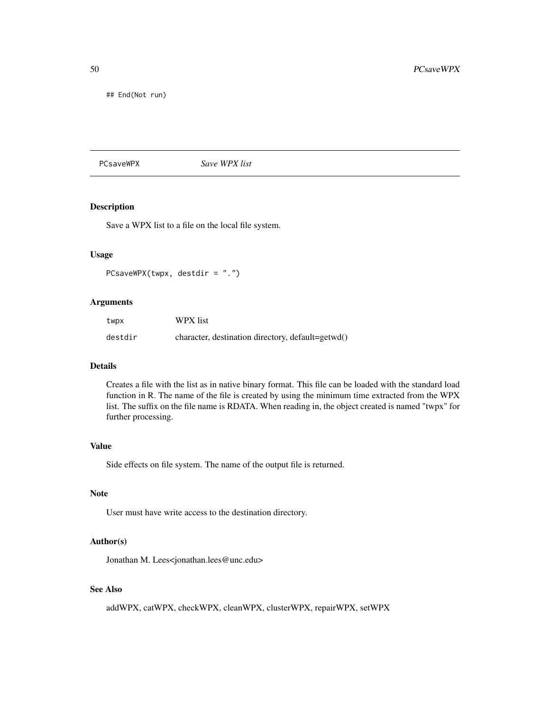## End(Not run)

#### PCsaveWPX *Save WPX list*

# Description

Save a WPX list to a file on the local file system.

## Usage

PCsaveWPX(twpx, destdir = ".")

#### Arguments

| twpx    | WPX list                                          |
|---------|---------------------------------------------------|
| destdir | character, destination directory, default=getwd() |

# Details

Creates a file with the list as in native binary format. This file can be loaded with the standard load function in R. The name of the file is created by using the minimum time extracted from the WPX list. The suffix on the file name is RDATA. When reading in, the object created is named "twpx" for further processing.

#### Value

Side effects on file system. The name of the output file is returned.

## Note

User must have write access to the destination directory.

#### Author(s)

Jonathan M. Lees<jonathan.lees@unc.edu>

# See Also

addWPX, catWPX, checkWPX, cleanWPX, clusterWPX, repairWPX, setWPX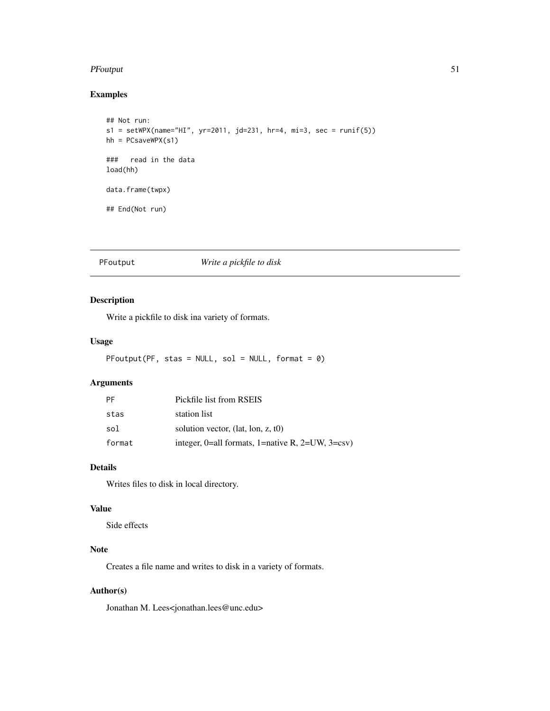#### PFoutput 51

# Examples

```
## Not run:
s1 = setWPX(name='HI", yr=2011, jd=231, hr=4, mi=3, sec = runif(5))hh = PCsaveWPX(s1)
### read in the data
load(hh)
data.frame(twpx)
## End(Not run)
```
## PFoutput *Write a pickfile to disk*

## Description

Write a pickfile to disk ina variety of formats.

## Usage

```
PFoutput(PF, stas = NULL, sol = NULL, format = 0)
```
## Arguments

| PF     | Pickfile list from RSEIS                            |
|--------|-----------------------------------------------------|
| stas   | station list                                        |
| sol    | solution vector, $(lat, lon, z, t0)$                |
| format | integer, 0=all formats, 1=native R, 2=UW, $3=$ csv) |

#### Details

Writes files to disk in local directory.

## Value

Side effects

# Note

Creates a file name and writes to disk in a variety of formats.

## Author(s)

Jonathan M. Lees<jonathan.lees@unc.edu>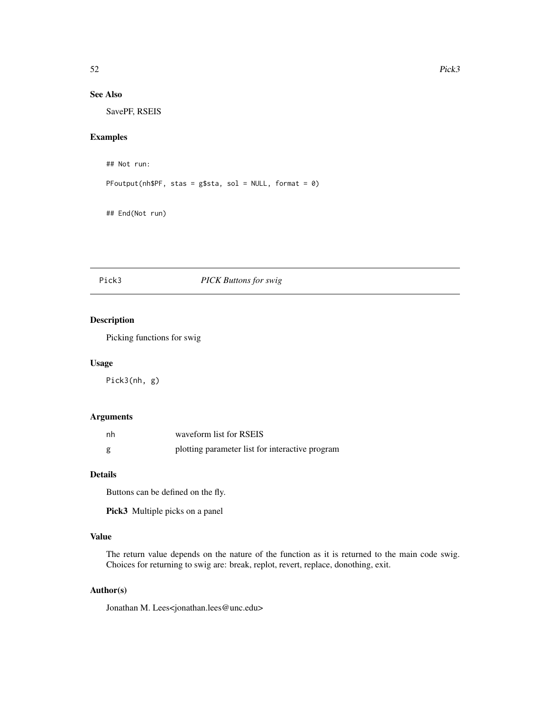# See Also

SavePF, RSEIS

#### Examples

```
## Not run:
```
PFoutput(nh\$PF, stas = g\$sta, sol = NULL, format =  $\theta$ )

## End(Not run)

# Pick3 *PICK Buttons for swig*

## Description

Picking functions for swig

#### Usage

Pick3(nh, g)

#### Arguments

| nh | waveform list for RSEIS                         |
|----|-------------------------------------------------|
| g  | plotting parameter list for interactive program |

#### Details

Buttons can be defined on the fly.

Pick3 Multiple picks on a panel

# Value

The return value depends on the nature of the function as it is returned to the main code swig. Choices for returning to swig are: break, replot, revert, replace, donothing, exit.

#### Author(s)

Jonathan M. Lees<jonathan.lees@unc.edu>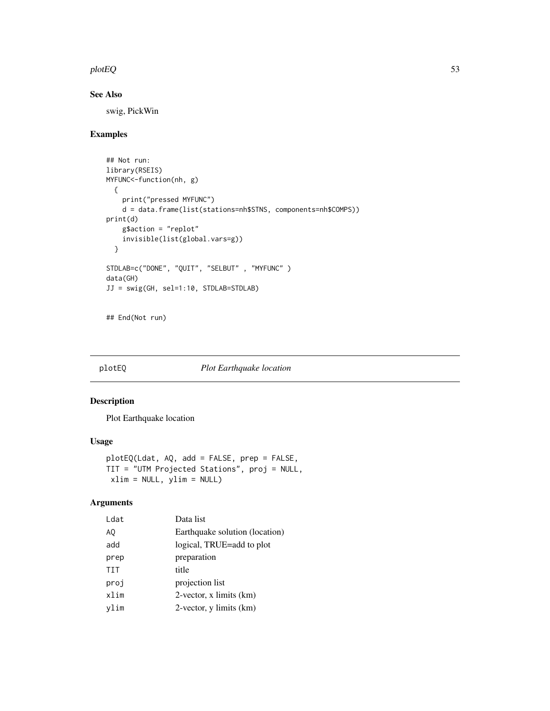#### plotEQ 53

# See Also

swig, PickWin

# Examples

```
## Not run:
library(RSEIS)
MYFUNC<-function(nh, g)
  {
   print("pressed MYFUNC")
   d = data.frame(list(stations=nh$STNS, components=nh$COMPS))
print(d)
   g$action = "replot"
   invisible(list(global.vars=g))
  }
STDLAB=c("DONE", "QUIT", "SELBUT" , "MYFUNC" )
data(GH)
JJ = swig(GH, sel=1:10, STDLAB=STDLAB)
```
## End(Not run)

## plotEQ *Plot Earthquake location*

#### Description

Plot Earthquake location

#### Usage

```
plotEQ(Ldat, AQ, add = FALSE, prep = FALSE,
TIT = "UTM Projected Stations", proj = NULL,
xlim = NULL, ylim = NULL)
```
# Arguments

| Ldat | Data list                      |
|------|--------------------------------|
| AQ   | Earthquake solution (location) |
| add  | logical, TRUE=add to plot      |
| prep | preparation                    |
| TIT  | title                          |
| proj | projection list                |
| xlim | $2$ -vector, x limits $(km)$   |
| vlim | 2-vector, y limits (km)        |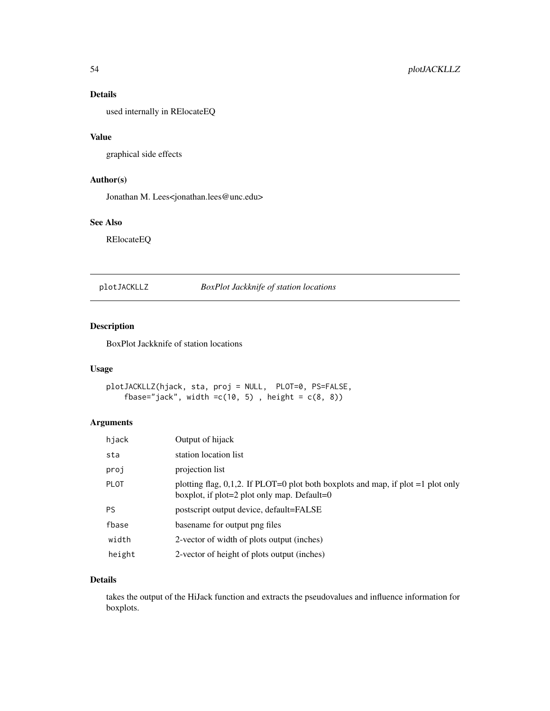# Details

used internally in RElocateEQ

#### Value

graphical side effects

## Author(s)

Jonathan M. Lees<jonathan.lees@unc.edu>

# See Also

RElocateEQ

plotJACKLLZ *BoxPlot Jackknife of station locations*

# Description

BoxPlot Jackknife of station locations

#### Usage

```
plotJACKLLZ(hjack, sta, proj = NULL, PLOT=0, PS=FALSE,
    fbase="jack", width =c(10, 5), height = c(8, 8))
```
# Arguments

| hjack       | Output of hijack                                                                                                                  |
|-------------|-----------------------------------------------------------------------------------------------------------------------------------|
| sta         | station location list                                                                                                             |
| proj        | projection list                                                                                                                   |
| <b>PLOT</b> | plotting flag, 0,1,2. If PLOT=0 plot both boxplots and map, if plot =1 plot only<br>boxplot, if $plot=2$ plot only map. Default=0 |
| <b>PS</b>   | postscript output device, default=FALSE                                                                                           |
| fbase       | basename for output png files                                                                                                     |
| width       | 2-vector of width of plots output (inches)                                                                                        |
| height      | 2-vector of height of plots output (inches)                                                                                       |

# Details

takes the output of the HiJack function and extracts the pseudovalues and influence information for boxplots.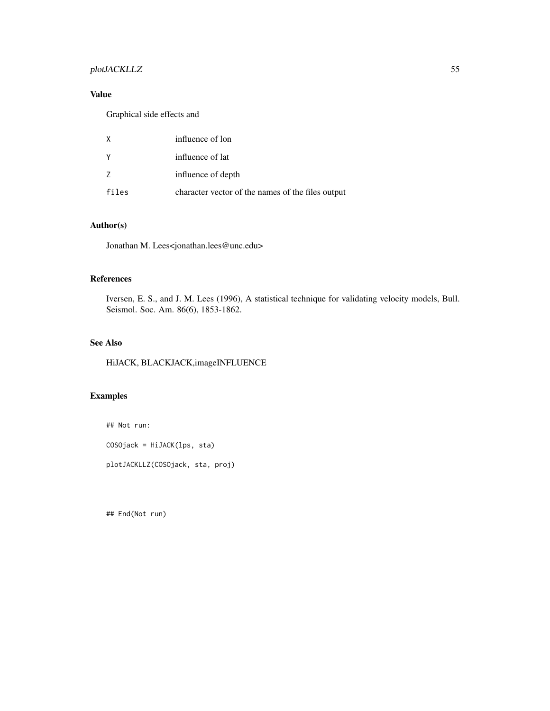## plotJACKLLZ 55

# Value

Graphical side effects and

| X        | influence of lon                                  |
|----------|---------------------------------------------------|
| <b>Y</b> | influence of lat                                  |
| 7        | influence of depth                                |
| files    | character vector of the names of the files output |

## Author(s)

Jonathan M. Lees<jonathan.lees@unc.edu>

## References

Iversen, E. S., and J. M. Lees (1996), A statistical technique for validating velocity models, Bull. Seismol. Soc. Am. 86(6), 1853-1862.

# See Also

HiJACK, BLACKJACK,imageINFLUENCE

# Examples

## Not run:

COSOjack = HiJACK(lps, sta)

plotJACKLLZ(COSOjack, sta, proj)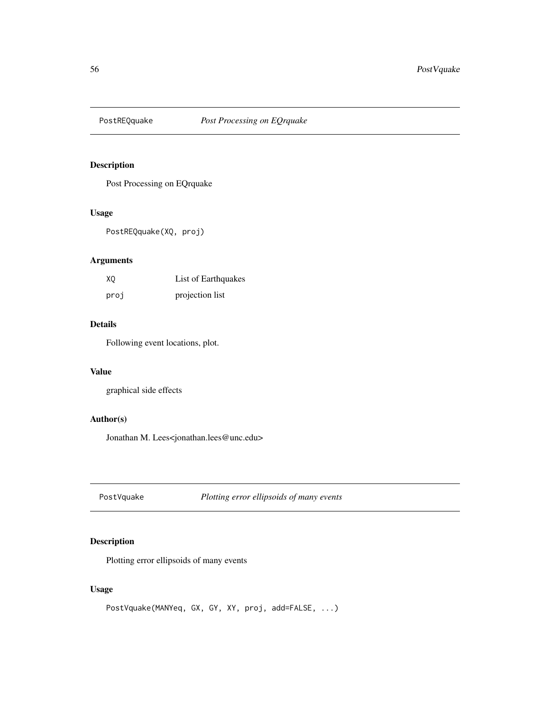Post Processing on EQrquake

#### Usage

PostREQquake(XQ, proj)

## Arguments

| XQ   | List of Earthquakes |  |
|------|---------------------|--|
| proj | projection list     |  |

#### Details

Following event locations, plot.

## Value

graphical side effects

#### Author(s)

Jonathan M. Lees<jonathan.lees@unc.edu>

PostVquake *Plotting error ellipsoids of many events*

## Description

Plotting error ellipsoids of many events

#### Usage

```
PostVquake(MANYeq, GX, GY, XY, proj, add=FALSE, ...)
```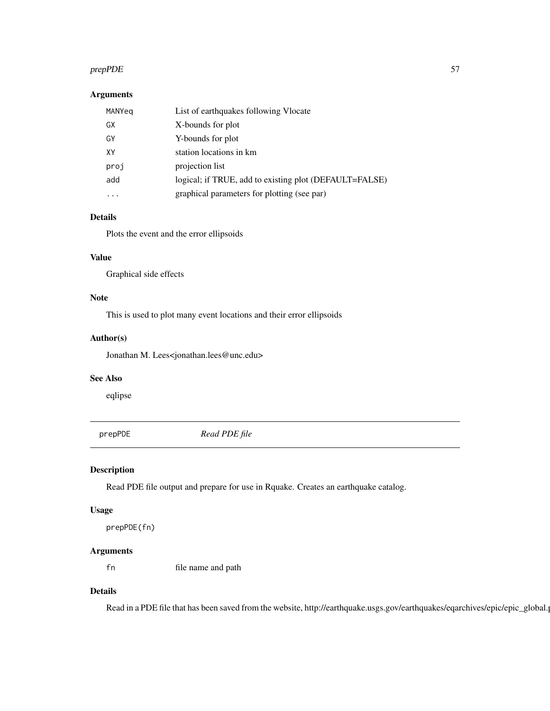#### prepPDE 57

## Arguments

| MANYeg    | List of earthquakes following Vlocate                  |
|-----------|--------------------------------------------------------|
| GX        | X-bounds for plot                                      |
| GY        | Y-bounds for plot                                      |
| XY        | station locations in km                                |
| proj      | projection list                                        |
| add       | logical; if TRUE, add to existing plot (DEFAULT=FALSE) |
| $\ddotsc$ | graphical parameters for plotting (see par)            |

# Details

Plots the event and the error ellipsoids

# Value

Graphical side effects

## Note

This is used to plot many event locations and their error ellipsoids

#### Author(s)

Jonathan M. Lees<jonathan.lees@unc.edu>

#### See Also

eqlipse

prepPDE *Read PDE file*

#### Description

Read PDE file output and prepare for use in Rquake. Creates an earthquake catalog.

## Usage

```
prepPDE(fn)
```
## Arguments

fn file name and path

# Details

Read in a PDE file that has been saved from the website, http://earthquake.usgs.gov/earthquakes/eqarchives/epic/epic\_global.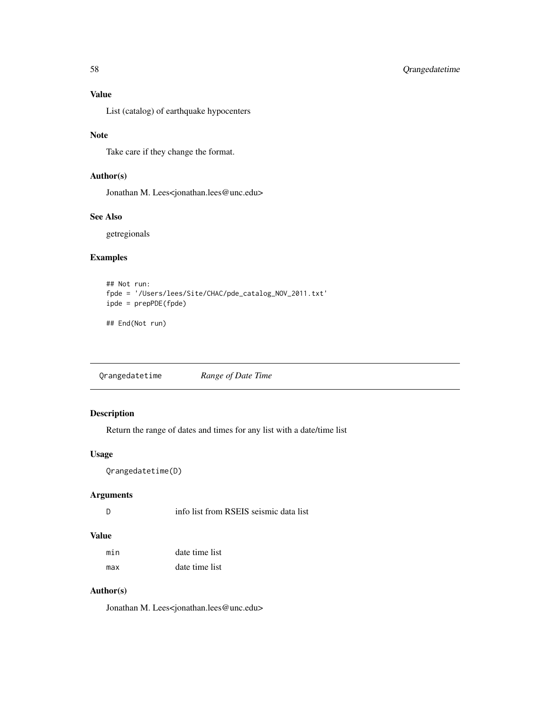# Value

List (catalog) of earthquake hypocenters

#### Note

Take care if they change the format.

# Author(s)

Jonathan M. Lees<jonathan.lees@unc.edu>

#### See Also

getregionals

## Examples

```
## Not run:
fpde = '/Users/lees/Site/CHAC/pde_catalog_NOV_2011.txt'
ipde = prepPDE(fpde)
```
## End(Not run)

Qrangedatetime *Range of Date Time*

# Description

Return the range of dates and times for any list with a date/time list

# Usage

```
Qrangedatetime(D)
```
## Arguments

#### Value

| min | date time list |
|-----|----------------|
| max | date time list |

## Author(s)

Jonathan M. Lees<jonathan.lees@unc.edu>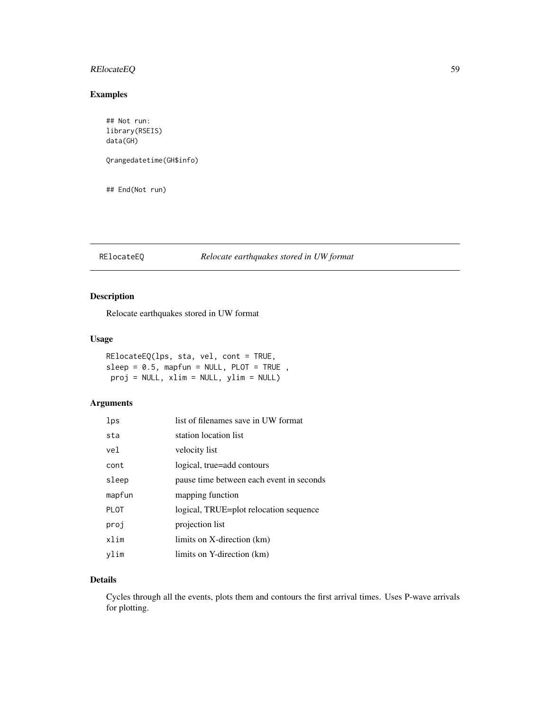## RElocateEQ 59

# Examples

```
## Not run:
library(RSEIS)
data(GH)
Qrangedatetime(GH$info)
## End(Not run)
```
## RElocateEQ *Relocate earthquakes stored in UW format*

## Description

Relocate earthquakes stored in UW format

#### Usage

RElocateEQ(lps, sta, vel, cont = TRUE,  $sleep = 0.5, mapfun = NULL, PLOT = TRUE ,$ proj = NULL, xlim = NULL, ylim = NULL)

## Arguments

| lps         | list of filenames save in UW format      |
|-------------|------------------------------------------|
| sta         | station location list                    |
| vel         | velocity list                            |
| cont        | logical, true=add contours               |
| sleep       | pause time between each event in seconds |
| mapfun      | mapping function                         |
| <b>PLOT</b> | logical, TRUE=plot relocation sequence   |
| proj        | projection list                          |
| xlim        | limits on X-direction (km)               |
| vlim        | limits on Y-direction (km)               |

# Details

Cycles through all the events, plots them and contours the first arrival times. Uses P-wave arrivals for plotting.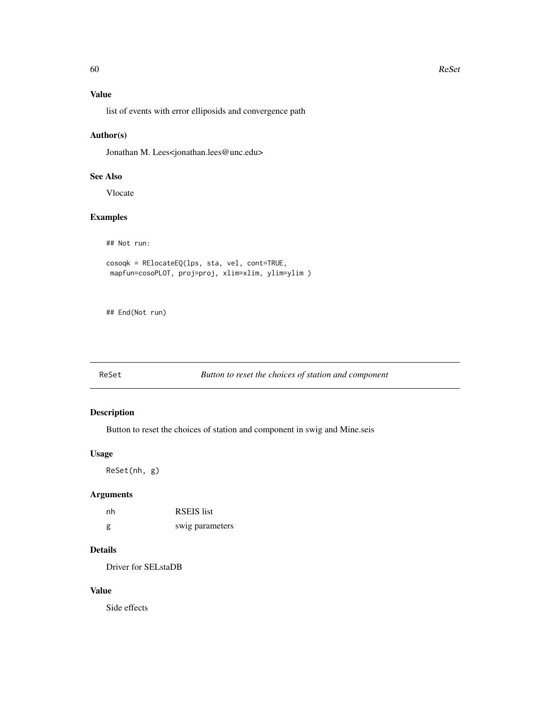# Value

list of events with error elliposids and convergence path

## Author(s)

Jonathan M. Lees<jonathan.lees@unc.edu>

# See Also

Vlocate

# Examples

## Not run:

```
cosoqk = RElocateEQ(lps, sta, vel, cont=TRUE,
 mapfun=cosoPLOT, proj=proj, xlim=xlim, ylim=ylim )
```
## End(Not run)

## ReSet *Button to reset the choices of station and component*

## Description

Button to reset the choices of station and component in swig and Mine.seis

## Usage

ReSet(nh, g)

## Arguments

| nh | <b>RSEIS</b> list |
|----|-------------------|
| g  | swig parameters   |

## Details

Driver for SELstaDB

#### Value

Side effects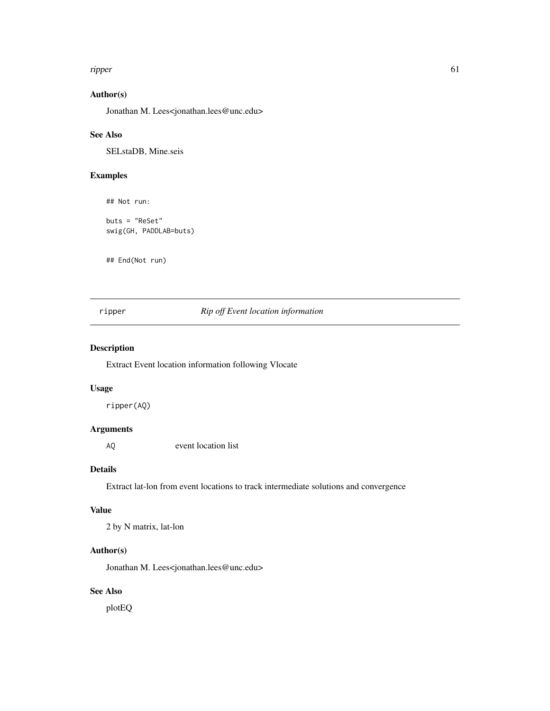#### ripper 61

# Author(s)

Jonathan M. Lees<jonathan.lees@unc.edu>

#### See Also

SELstaDB, Mine.seis

## Examples

## Not run:

buts = "ReSet" swig(GH, PADDLAB=buts)

## End(Not run)

## ripper *Rip off Event location information*

## Description

Extract Event location information following Vlocate

#### Usage

ripper(AQ)

## Arguments

AQ event location list

#### Details

Extract lat-lon from event locations to track intermediate solutions and convergence

#### Value

2 by N matrix, lat-lon

#### Author(s)

Jonathan M. Lees<jonathan.lees@unc.edu>

# See Also

plotEQ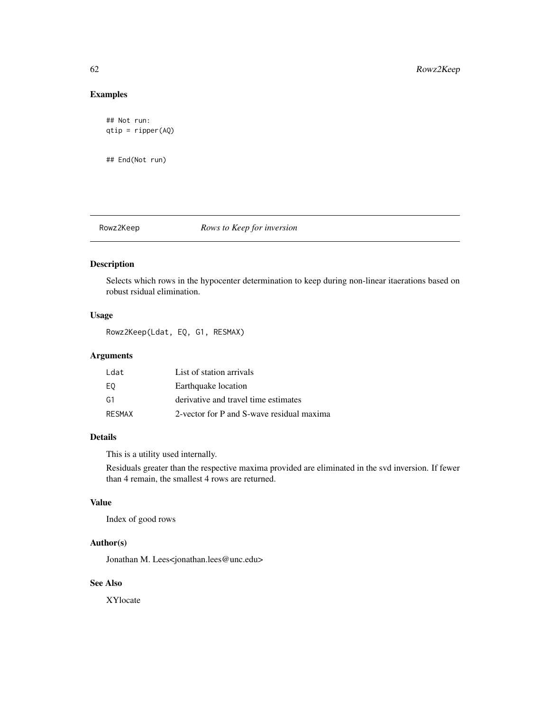## Examples

```
## Not run:
qtip = ripper(AQ)
```
## End(Not run)

## Rowz2Keep *Rows to Keep for inversion*

#### Description

Selects which rows in the hypocenter determination to keep during non-linear itaerations based on robust rsidual elimination.

#### Usage

Rowz2Keep(Ldat, EQ, G1, RESMAX)

# Arguments

| Ldat          | List of station arrivals                  |
|---------------|-------------------------------------------|
| EQ            | Earthquake location                       |
| G1            | derivative and travel time estimates      |
| <b>RESMAX</b> | 2-vector for P and S-wave residual maxima |

#### Details

This is a utility used internally.

Residuals greater than the respective maxima provided are eliminated in the svd inversion. If fewer than 4 remain, the smallest 4 rows are returned.

#### Value

Index of good rows

# Author(s)

Jonathan M. Lees<jonathan.lees@unc.edu>

#### See Also

XYlocate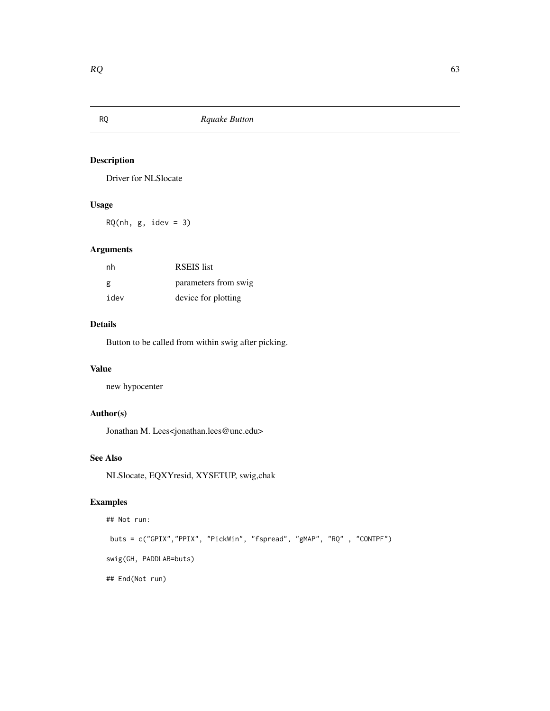Driver for NLSlocate

# Usage

 $RQ(nh, g, idev = 3)$ 

# Arguments

| nh   | <b>RSEIS</b> list    |
|------|----------------------|
| g    | parameters from swig |
| idev | device for plotting  |

## Details

Button to be called from within swig after picking.

#### Value

new hypocenter

# Author(s)

Jonathan M. Lees<jonathan.lees@unc.edu>

# See Also

NLSlocate, EQXYresid, XYSETUP, swig,chak

# Examples

```
## Not run:
buts = c("GPIX","PPIX", "PickWin", "fspread", "gMAP", "RQ" , "CONTPF")
swig(GH, PADDLAB=buts)
## End(Not run)
```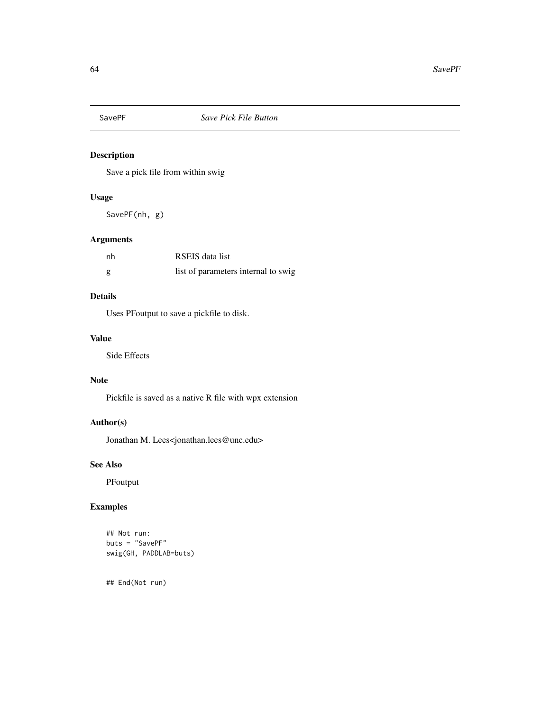Save a pick file from within swig

## Usage

SavePF(nh, g)

## Arguments

| nh | RSEIS data list                     |
|----|-------------------------------------|
| g  | list of parameters internal to swig |

#### Details

Uses PFoutput to save a pickfile to disk.

#### Value

Side Effects

# Note

Pickfile is saved as a native R file with wpx extension

# Author(s)

Jonathan M. Lees<jonathan.lees@unc.edu>

#### See Also

PFoutput

# Examples

```
## Not run:
buts = "SavePF"
swig(GH, PADDLAB=buts)
```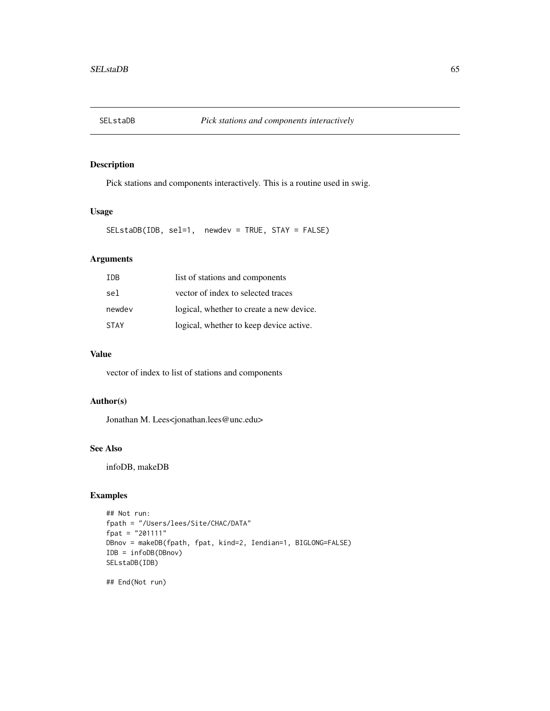Pick stations and components interactively. This is a routine used in swig.

## Usage

SELstaDB(IDB, sel=1, newdev = TRUE, STAY = FALSE)

# Arguments

| TDB.        | list of stations and components          |
|-------------|------------------------------------------|
| sel         | vector of index to selected traces       |
| newdev      | logical, whether to create a new device. |
| <b>STAY</b> | logical, whether to keep device active.  |

#### Value

vector of index to list of stations and components

#### Author(s)

Jonathan M. Lees<jonathan.lees@unc.edu>

#### See Also

infoDB, makeDB

## Examples

```
## Not run:
fpath = "/Users/lees/Site/CHAC/DATA"
fpat = "201111"
DBnov = makeDB(fpath, fpat, kind=2, Iendian=1, BIGLONG=FALSE)
IDB = infoDB(DBnov)
SELstaDB(IDB)
```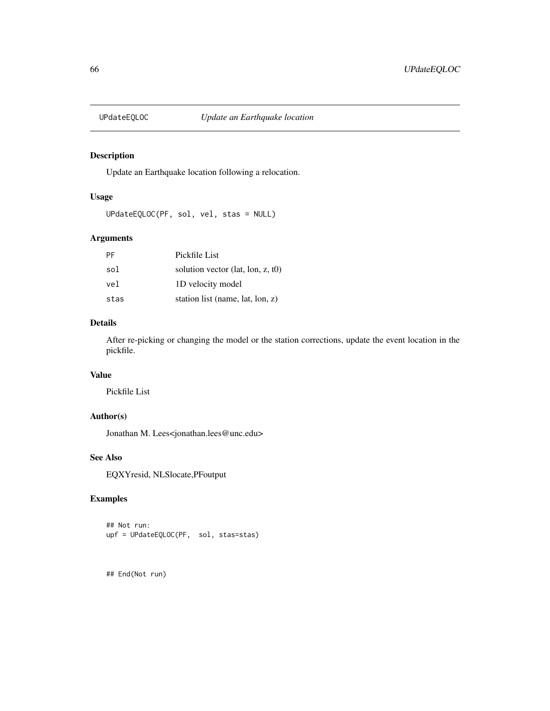Update an Earthquake location following a relocation.

## Usage

UPdateEQLOC(PF, sol, vel, stas = NULL)

#### Arguments

| PF   | Pickfile List                     |
|------|-----------------------------------|
| sol  | solution vector (lat, lon, z, t0) |
| vel  | 1D velocity model                 |
| stas | station list (name, lat, lon, z)  |

#### Details

After re-picking or changing the model or the station corrections, update the event location in the pickfile.

#### Value

Pickfile List

#### Author(s)

Jonathan M. Lees<jonathan.lees@unc.edu>

#### See Also

EQXYresid, NLSlocate,PFoutput

# Examples

```
## Not run:
upf = UPdateEQLOC(PF, sol, stas=stas)
```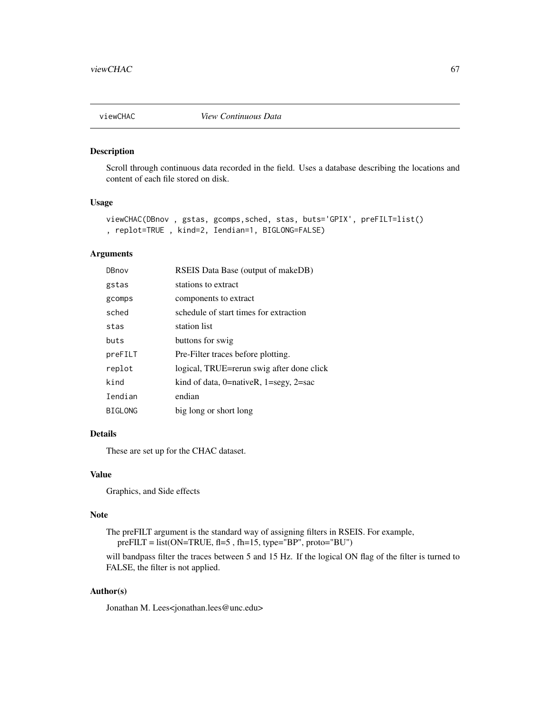Scroll through continuous data recorded in the field. Uses a database describing the locations and content of each file stored on disk.

#### Usage

```
viewCHAC(DBnov , gstas, gcomps,sched, stas, buts='GPIX', preFILT=list()
, replot=TRUE , kind=2, Iendian=1, BIGLONG=FALSE)
```
#### Arguments

| DBnov          | RSEIS Data Base (output of makeDB)              |
|----------------|-------------------------------------------------|
| gstas          | stations to extract                             |
| gcomps         | components to extract                           |
| sched          | schedule of start times for extraction          |
| stas           | station list                                    |
| buts           | buttons for swig                                |
| preFILT        | Pre-Filter traces before plotting.              |
| replot         | logical, TRUE=rerun swig after done click       |
| kind           | kind of data, $0$ =nativeR, $1$ =segy, $2$ =sac |
| Iendian        | endian                                          |
| <b>BIGLONG</b> | big long or short long                          |

#### Details

These are set up for the CHAC dataset.

#### Value

Graphics, and Side effects

#### Note

The preFILT argument is the standard way of assigning filters in RSEIS. For example, preFILT = list(ON=TRUE, fl=5 , fh=15, type="BP", proto="BU")

will bandpass filter the traces between 5 and 15 Hz. If the logical ON flag of the filter is turned to FALSE, the filter is not applied.

#### Author(s)

Jonathan M. Lees<jonathan.lees@unc.edu>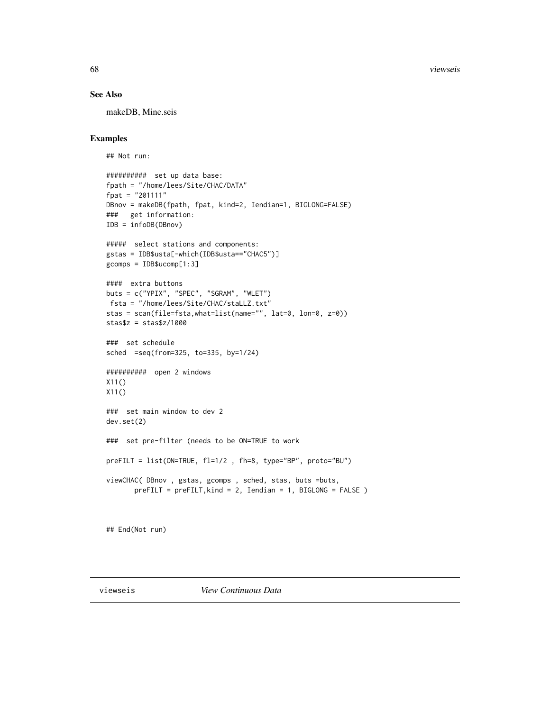68 viewseis

#### See Also

makeDB, Mine.seis

# Examples

```
## Not run:
```

```
########## set up data base:
fpath = "/home/lees/Site/CHAC/DATA"
fpat = "201111"
DBnov = makeDB(fpath, fpat, kind=2, Iendian=1, BIGLONG=FALSE)
### get information:
IDB = infoDB(DBnov)
##### select stations and components:
gstas = IDB$usta[-which(IDB$usta=="CHAC5")]
gcomps = IDB$ucomp[1:3]
#### extra buttons
buts = c("YPIX", "SPEC", "SGRAM", "WLET")
fsta = "/home/lees/Site/CHAC/staLLZ.txt"
stas = scan(file=fsta,what=list(name="", lat=0, lon=0, z=0))
stas$z = stas$z/1000
### set schedule
sched =seq(from=325, to=335, by=1/24)
########## open 2 windows
X11()
X11()
### set main window to dev 2
dev.set(2)
### set pre-filter (needs to be ON=TRUE to work
preFILT = list(ON=TRUE, fl=1/2 , fh=8, type="BP", proto="BU")
viewCHAC( DBnov , gstas, gcomps , sched, stas, buts =buts,
       preFILT = preFILT, kind = 2, Iendian = 1, BIGLONG = FALSE)
```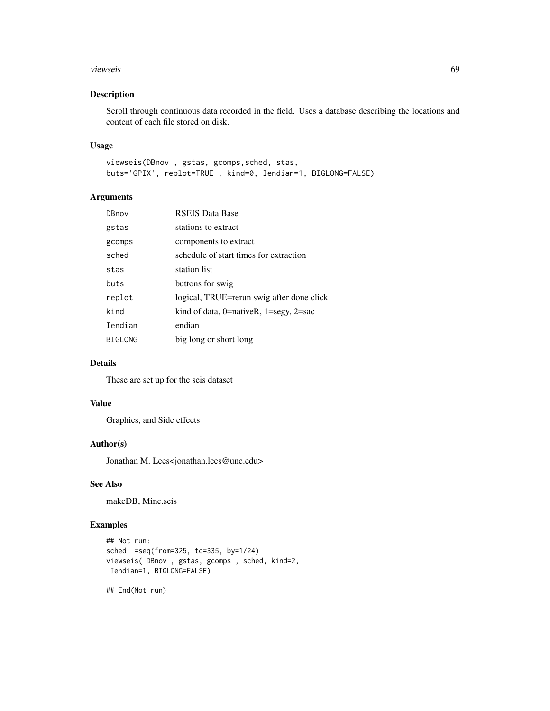#### viewseis 69

## Description

Scroll through continuous data recorded in the field. Uses a database describing the locations and content of each file stored on disk.

#### Usage

viewseis(DBnov , gstas, gcomps,sched, stas, buts='GPIX', replot=TRUE , kind=0, Iendian=1, BIGLONG=FALSE)

## Arguments

| DBnov          | <b>RSEIS Data Base</b>                          |
|----------------|-------------------------------------------------|
| gstas          | stations to extract                             |
| gcomps         | components to extract                           |
| sched          | schedule of start times for extraction          |
| stas           | station list                                    |
| buts           | buttons for swig                                |
| replot         | logical, TRUE=rerun swig after done click       |
| kind           | kind of data, $0$ =nativeR, $1$ =segy, $2$ =sac |
| Iendian        | endian                                          |
| <b>BIGLONG</b> | big long or short long                          |

## Details

These are set up for the seis dataset

# Value

Graphics, and Side effects

# Author(s)

Jonathan M. Lees<jonathan.lees@unc.edu>

## See Also

makeDB, Mine.seis

#### Examples

```
## Not run:
sched =seq(from=325, to=335, by=1/24)
viewseis( DBnov , gstas, gcomps , sched, kind=2,
Iendian=1, BIGLONG=FALSE)
```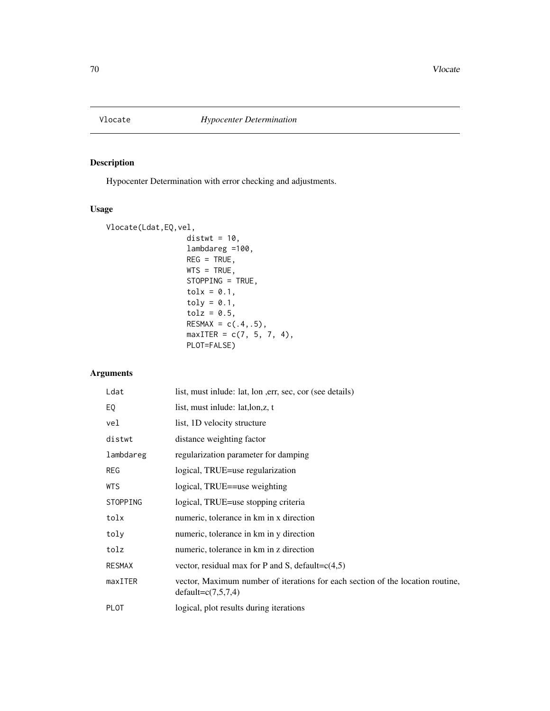Hypocenter Determination with error checking and adjustments.

## Usage

```
Vlocate(Ldat,EQ,vel,
                  distwt = 10,
                  lambdareg =100,
                  REG = TRUE,WTS = TRUE,STOPPING = TRUE,
                  tolx = 0.1,
                  toly = 0.1,
                  tolz = 0.5,
                  RESMAX = c(.4,.5),
                  maxITER = c(7, 5, 7, 4),PLOT=FALSE)
```
# Arguments

| Ldat          | list, must inlude: lat, lon , err, sec, cor (see details)                                              |
|---------------|--------------------------------------------------------------------------------------------------------|
| EQ            | list, must inlude: lat, lon, z, t                                                                      |
| vel           | list, 1D velocity structure                                                                            |
| distwt        | distance weighting factor                                                                              |
| lambdareg     | regularization parameter for damping                                                                   |
| <b>REG</b>    | logical, TRUE=use regularization                                                                       |
| <b>WTS</b>    | logical, TRUE==use weighting                                                                           |
| STOPPING      | logical, TRUE=use stopping criteria                                                                    |
| tolx          | numeric, tolerance in km in x direction                                                                |
| toly          | numeric, tolerance in km in y direction                                                                |
| tolz          | numeric, tolerance in km in z direction                                                                |
| <b>RESMAX</b> | vector, residual max for P and S, default= $c(4,5)$                                                    |
| maxITER       | vector, Maximum number of iterations for each section of the location routine,<br>$default=c(7,5,7,4)$ |
| <b>PLOT</b>   | logical, plot results during iterations                                                                |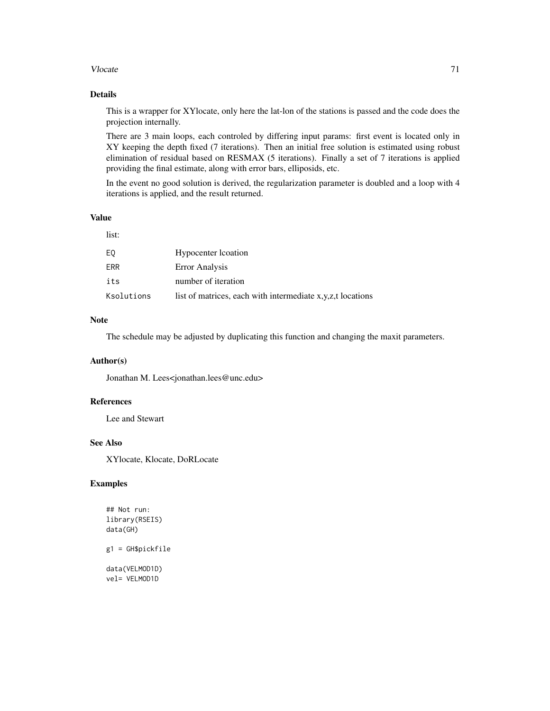#### Vlocate 71

#### Details

This is a wrapper for XYlocate, only here the lat-lon of the stations is passed and the code does the projection internally.

There are 3 main loops, each controled by differing input params: first event is located only in XY keeping the depth fixed (7 iterations). Then an initial free solution is estimated using robust elimination of residual based on RESMAX (5 iterations). Finally a set of 7 iterations is applied providing the final estimate, along with error bars, elliposids, etc.

In the event no good solution is derived, the regularization parameter is doubled and a loop with 4 iterations is applied, and the result returned.

## Value

#### list:

| EQ         | Hypocenter location                                        |
|------------|------------------------------------------------------------|
| FRR        | Error Analysis                                             |
| its        | number of iteration                                        |
| Ksolutions | list of matrices, each with intermediate x,y,z,t locations |

#### Note

The schedule may be adjusted by duplicating this function and changing the maxit parameters.

## Author(s)

Jonathan M. Lees<jonathan.lees@unc.edu>

#### References

Lee and Stewart

#### See Also

XYlocate, Klocate, DoRLocate

## Examples

## Not run: library(RSEIS) data(GH) g1 = GH\$pickfile data(VELMOD1D) vel= VELMOD1D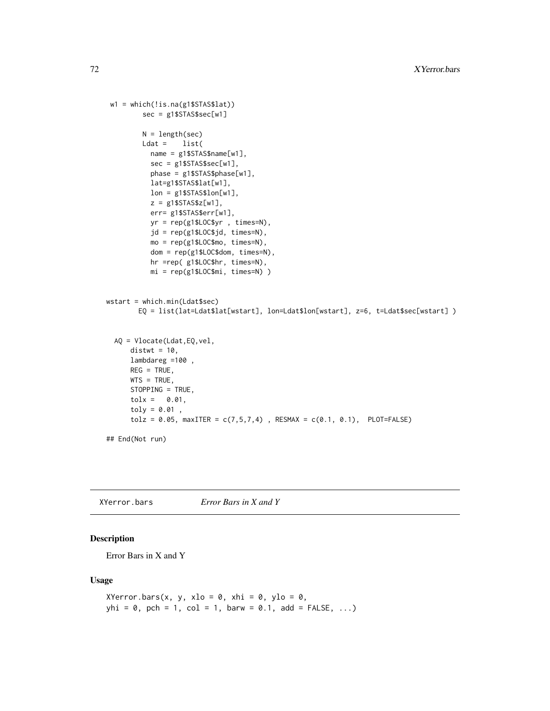```
w1 = which(!is.na(g1$STAS$lat))
        sec = g1$STAS$sec[w1]
        N = length(sec)Ldat = list(name = g1$STAS$name[w1],
          sec = g1$STAS$sec[w1],
          phase = g1$STAS$phase[w1],
          lat=g1$STAS$lat[w1],
          lon = g1$STAS$lon[w1],z = g1$STAS$z[w1],
          err= g1$STAS$err[w1],
          yr = rep(g1$LOC$yr , times=N),
           jd = rep(g1$LOC$jd, times=N),
          mo = rep(g1$LOC$mo, times=N),
          dom = rep(g1$LOC$dom, times=N),
          hr =rep( g1$LOC$hr, times=N),
          mi = rep(g1$LOC$mi, times=N) )
wstart = which.min(Ldat$sec)
       EQ = list(lat=Ldat$lat[wstart], lon=Ldat$lon[wstart], z=6, t=Ldat$sec[wstart] )
  AQ = Vlocate(Ldat,EQ,vel,
      distwt = 10,
      lambdareg =100 ,
      REG = TRUE,
     WTS = TRUE,STOPPING = TRUE,
      tolx = 0.01,toly = 0.01,
      tolz = 0.05, maxITER = c(7,5,7,4), RESMAX = c(0.1, 0.1), PLOT=FALSE)
## End(Not run)
```
XYerror.bars *Error Bars in X and Y*

## Description

Error Bars in X and Y

#### Usage

```
XYerror.bars(x, y, xlo = 0, xhi = 0, ylo = 0,
yhi = 0, pch = 1, col = 1, barw = 0.1, add = FALSE, ...
```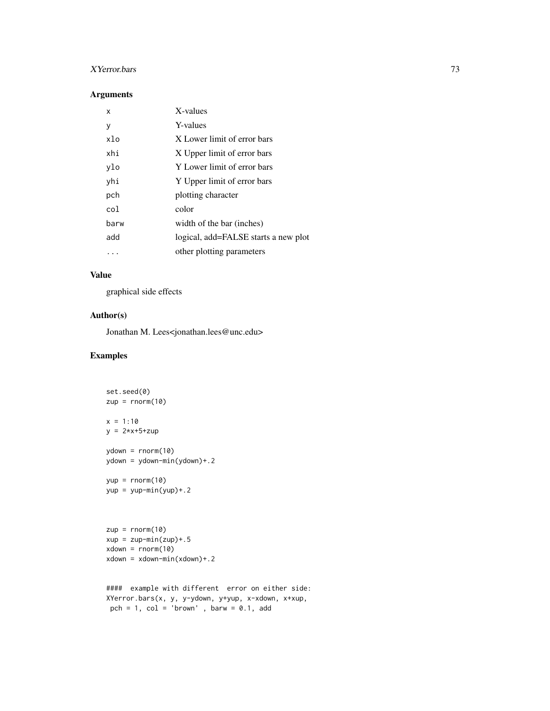#### XYerror.bars 73

#### Arguments

| x    | X-values                             |
|------|--------------------------------------|
| у    | Y-values                             |
| xlo  | X Lower limit of error bars          |
| xhi  | X Upper limit of error bars          |
| ylo  | Y Lower limit of error bars          |
| yhi  | Y Upper limit of error bars          |
| pch  | plotting character                   |
| col  | color                                |
| barw | width of the bar (inches)            |
| add  | logical, add=FALSE starts a new plot |
|      | other plotting parameters            |

#### Value

graphical side effects

#### Author(s)

Jonathan M. Lees<jonathan.lees@unc.edu>

#### Examples

```
set.seed(0)
zup = rnorm(10)x = 1:10y = 2*x+5+zupydown = rnorm(10)ydown = ydown-min(ydown)+.2
yup = rnorm(10)yup = yup-min(yup) + .2zup = rnorm(10)xup = zup-min(zup) + .5xdown = rnorm(10)xdown = xdown-min(xdown) + .2#### example with different error on either side:
XYerror.bars(x, y, y-ydown, y+yup, x-xdown, x+xup,
pch = 1, col = 'brown', barw = 0.1, add
```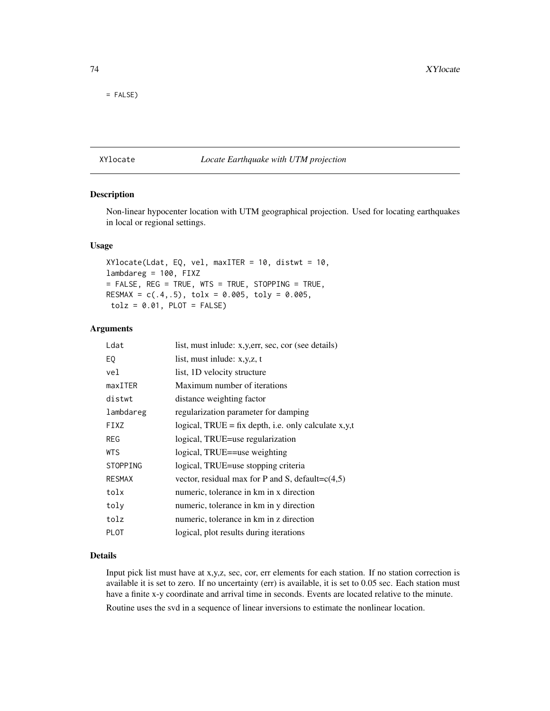<span id="page-73-0"></span>= FALSE)

#### XYlocate *Locate Earthquake with UTM projection*

#### Description

Non-linear hypocenter location with UTM geographical projection. Used for locating earthquakes in local or regional settings.

#### Usage

 $XYlocate(Ldat, EQ, vel, maxITER = 10, distwt = 10,$ lambdareg = 100, FIXZ = FALSE, REG = TRUE, WTS = TRUE, STOPPING = TRUE, RESMAX =  $c(.4,.5)$ , tolx = 0.005, toly = 0.005,  $tolz = 0.01$ ,  $PLOT = FALSE$ 

#### Arguments

| Ldat            | list, must inlude: x, y, err, sec, cor (see details)   |
|-----------------|--------------------------------------------------------|
| E0              | list, must inlude: $x, y, z, t$                        |
| vel             | list, 1D velocity structure                            |
| maxITER         | Maximum number of iterations                           |
| distwt          | distance weighting factor                              |
| lambdareg       | regularization parameter for damping                   |
| FIXZ            | logical, $TRUE = fix$ depth, i.e. only calculate x,y,t |
| <b>REG</b>      | logical, TRUE=use regularization                       |
| WTS             | logical, TRUE==use weighting                           |
| <b>STOPPING</b> | logical, TRUE=use stopping criteria                    |
| <b>RESMAX</b>   | vector, residual max for P and S, default= $c(4,5)$    |
| tolx            | numeric, tolerance in km in x direction                |
| toly            | numeric, tolerance in km in y direction                |
| tolz            | numeric, tolerance in km in z direction                |
| <b>PLOT</b>     | logical, plot results during iterations                |

#### Details

Input pick list must have at x,y,z, sec, cor, err elements for each station. If no station correction is available it is set to zero. If no uncertainty (err) is available, it is set to 0.05 sec. Each station must have a finite x-y coordinate and arrival time in seconds. Events are located relative to the minute.

Routine uses the svd in a sequence of linear inversions to estimate the nonlinear location.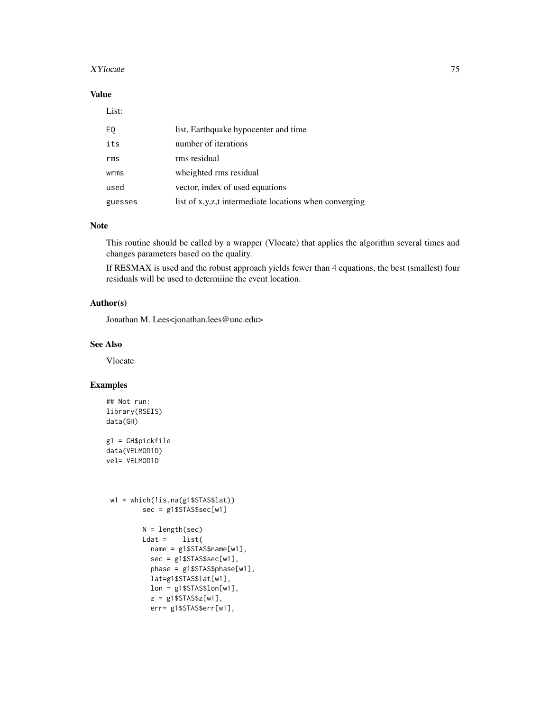#### $XY$ locate 75

#### Value

#### List:

| EQ      | list, Earthquake hypocenter and time                   |
|---------|--------------------------------------------------------|
| its     | number of iterations                                   |
| rms     | rms residual                                           |
| wrms    | wheighted rms residual                                 |
| used    | vector, index of used equations                        |
| guesses | list of x,y,z,t intermediate locations when converging |

## Note

This routine should be called by a wrapper (Vlocate) that applies the algorithm several times and changes parameters based on the quality.

If RESMAX is used and the robust approach yields fewer than 4 equations, the best (smallest) four residuals will be used to determiine the event location.

#### Author(s)

Jonathan M. Lees<jonathan.lees@unc.edu>

#### See Also

Vlocate

## Examples

```
## Not run:
library(RSEIS)
data(GH)
g1 = GH$pickfile
data(VELMOD1D)
vel= VELMOD1D
 w1 = which(!is.na(g1$STAS$lat))
        sec = g1$STAS$sec[w1]
        N = length(sec)
        Ldat = list(name = g1$STAS$name[w1],
           sec = g1$STAS$sec[w1],
           phase = g1$STAS$phase[w1],
           lat=g1$STAS$lat[w1],
           lon = g1$STAS$lon[w1],
          z = g1$STAS$z[w1],
           err= g1$STAS$err[w1],
```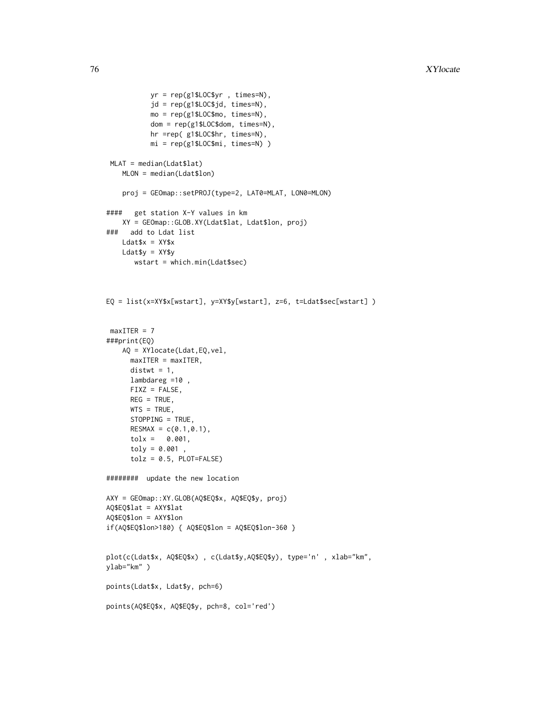```
yr = rep(g1$LOC$yr , times=N),
           jd = rep(g1$LOC$jd, times=N),
          mo = rep(g1$LOC$mo, times=N),
          dom = rep(g1$LOC$dom, times=N),
          hr =rep( g1$LOC$hr, times=N),
          mi = rep(g1$LOC$mi, times=N) )
 MLAT = median(Ldat$lat)
   MLON = median(Ldat$lon)
   proj = GEOmap::setPROJ(type=2, LAT0=MLAT, LON0=MLON)
#### get station X-Y values in km
   XY = GEOmap::GLOB.XY(Ldat$lat, Ldat$lon, proj)
### add to Ldat list
   Ldat$x = XY$x
   Ldat$y = XY$y
      wstart = which.min(Ldat$sec)
EQ = list(x=XY$x[wstart], y=XY$y[wstart], z=6, t=Ldat$sec[wstart] )
maxITER = 7###print(EQ)
   AQ = XYlocate(Ldat,EQ,vel,
     maxITER = maxITER,
      distwt = 1,
     lambdareg =10 ,
     FIXZ = FALSE,
      REG = TRUE,WTS = TRUE,STOPPING = TRUE,
      RESMAX = c(0.1, 0.1),tolx = 0.001,
      toly = 0.001,
      tolz = 0.5, PLOT=FALSE)
######## update the new location
AXY = GEOmap::XY.GLOB(AQ$EQ$x, AQ$EQ$y, proj)
AQ$EQ$lat = AXY$lat
AQ$EQ$lon = AXY$lon
if(AQ$EQ$lon>180) { AQ$EQ$lon = AQ$EQ$lon-360 }
plot(c(Ldat$x, AQ$EQ$x) , c(Ldat$y,AQ$EQ$y), type='n' , xlab="km",
ylab="km" )
points(Ldat$x, Ldat$y, pch=6)
points(AQ$EQ$x, AQ$EQ$y, pch=8, col='red')
```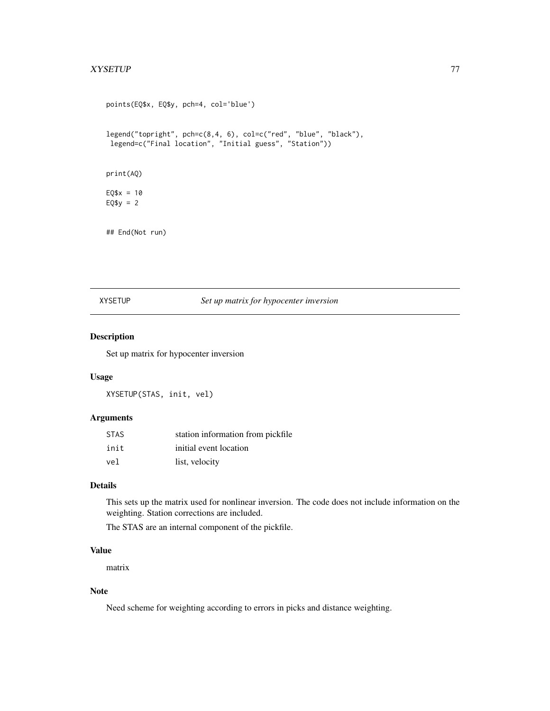#### <span id="page-76-0"></span>XYSETUP 77

```
points(EQ$x, EQ$y, pch=4, col='blue')
legend("topright", pch=c(8,4, 6), col=c("red", "blue", "black"),
legend=c("Final location", "Initial guess", "Station"))
print(AQ)
EQ$x = 10EQ$y = 2## End(Not run)
```
#### XYSETUP *Set up matrix for hypocenter inversion*

#### Description

Set up matrix for hypocenter inversion

#### Usage

XYSETUP(STAS, init, vel)

#### Arguments

| <b>STAS</b> | station information from pickfile |
|-------------|-----------------------------------|
| init        | initial event location            |
| vel         | list, velocity                    |

#### Details

This sets up the matrix used for nonlinear inversion. The code does not include information on the weighting. Station corrections are included.

The STAS are an internal component of the pickfile.

#### Value

matrix

#### Note

Need scheme for weighting according to errors in picks and distance weighting.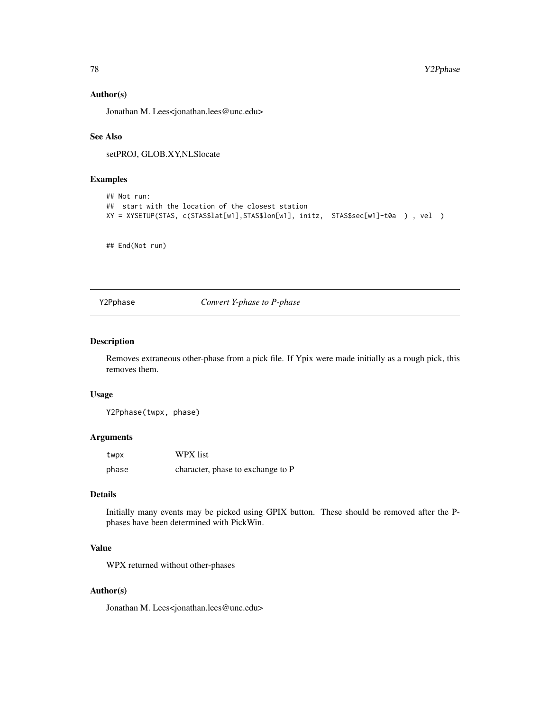#### <span id="page-77-0"></span>Author(s)

Jonathan M. Lees<jonathan.lees@unc.edu>

#### See Also

setPROJ, GLOB.XY,NLSlocate

#### Examples

```
## Not run:
## start with the location of the closest station
XY = XYSETUP(STAS, c(STAS$lat[w1],STAS$lon[w1], initz, STAS$sec[w1]-t0a ) , vel )
```
## End(Not run)

Y2Pphase *Convert Y-phase to P-phase*

#### Description

Removes extraneous other-phase from a pick file. If Ypix were made initially as a rough pick, this removes them.

#### Usage

Y2Pphase(twpx, phase)

#### Arguments

| twpx  | WPX list                          |
|-------|-----------------------------------|
| phase | character, phase to exchange to P |

#### Details

Initially many events may be picked using GPIX button. These should be removed after the Pphases have been determined with PickWin.

#### Value

WPX returned without other-phases

#### Author(s)

Jonathan M. Lees<jonathan.lees@unc.edu>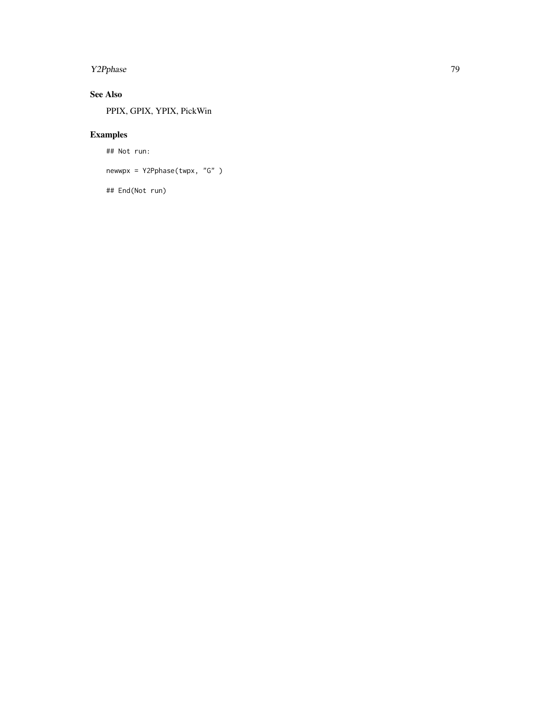# Y2Pphase 79

# See Also

PPIX, GPIX, YPIX, PickWin

# Examples

## Not run:

newwpx = Y2Pphase(twpx, "G" )

## End(Not run)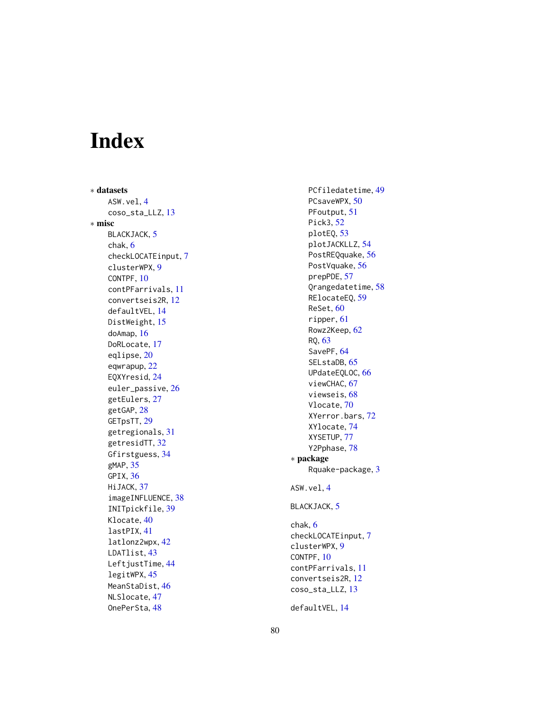# Index

∗ datasets ASW.vel,[4](#page-3-0) coso\_sta\_LLZ , [13](#page-12-0) ∗ misc BLACKJACK, [5](#page-4-0) chak , [6](#page-5-0) checkLOCATEinput , [7](#page-6-0) clusterWPX , [9](#page-8-0) CONTPF , [10](#page-9-0) contPFarrivals , [11](#page-10-0) convertseis2R , [12](#page-11-0) defaultVEL , [14](#page-13-0) DistWeight, [15](#page-14-0) doAmap , [16](#page-15-0) DoRLocate, [17](#page-16-0) eqlipse , [20](#page-19-0) eqwrapup , [22](#page-21-0) EQXYresid , [24](#page-23-0) euler\_passive , [26](#page-25-0) getEulers , [27](#page-26-0) getGAP , [28](#page-27-0) GETpsTT, [29](#page-28-0) getregionals , [31](#page-30-0) getresidTT, [32](#page-31-0) Gfirstguess , [34](#page-33-0) gMAP , [35](#page-34-0) GPIX , [36](#page-35-0) HiJACK, [37](#page-36-0) imageINFLUENCE , [38](#page-37-0) INITpickfile , [39](#page-38-0) Klocate, [40](#page-39-0) lastPIX , [41](#page-40-0) latlonz2wpx , [42](#page-41-0) LDATlist , [43](#page-42-0) LeftjustTime, [44](#page-43-0) legitWPX , [45](#page-44-0) MeanStaDist , [46](#page-45-0) NLSlocate , [47](#page-46-0) OnePerSta, [48](#page-47-0)

PCfiledatetime , [49](#page-48-0) PCsaveWPX, [50](#page-49-0) PFoutput, [51](#page-50-0) Pick3 , [52](#page-51-0) plotEQ , [53](#page-52-0) plotJACKLLZ , [54](#page-53-0) PostREQquake, [56](#page-55-0) PostVquake , [56](#page-55-0) prepPDE , [57](#page-56-0) Qrangedatetime , [58](#page-57-0) RElocateEQ , [59](#page-58-0) ReSet,  $60$ ripper , [61](#page-60-0) Rowz2Keep , [62](#page-61-0) RQ , [63](#page-62-0) SavePF, [64](#page-63-0) SELstaDB, [65](#page-64-0) UPdateEQLOC , [66](#page-65-0) viewCHAC, [67](#page-66-0) viewseis , [68](#page-67-0) Vlocate, [70](#page-69-0) XYerror.bars , [72](#page-71-0) XYlocate , [74](#page-73-0) XYSETUP , [77](#page-76-0) Y2Pphase , [78](#page-77-0) ∗ package Rquake-package , [3](#page-2-0) ASW.vel,[4](#page-3-0) BLACKJACK, [5](#page-4-0) chak , [6](#page-5-0) checkLOCATEinput , [7](#page-6-0) clusterWPX , [9](#page-8-0) CONTPF, [10](#page-9-0) contPFarrivals , [11](#page-10-0) convertseis2R , [12](#page-11-0) coso\_sta\_LLZ , [13](#page-12-0)

defaultVEL , [14](#page-13-0)